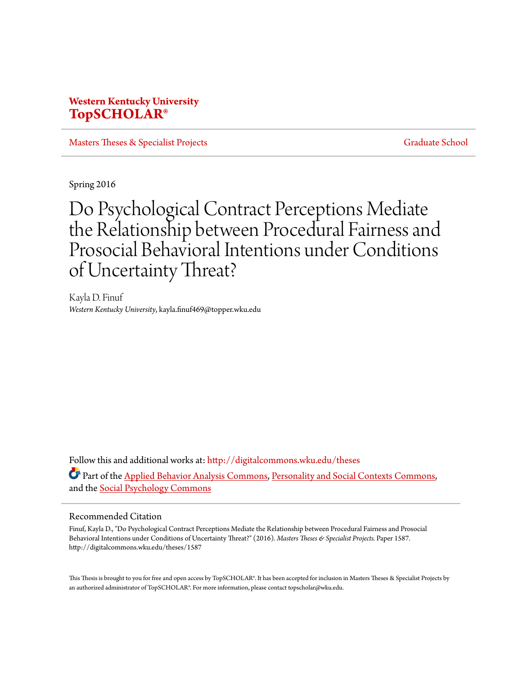# **Western Kentucky University [TopSCHOLAR®](http://digitalcommons.wku.edu?utm_source=digitalcommons.wku.edu%2Ftheses%2F1587&utm_medium=PDF&utm_campaign=PDFCoverPages)**

[Masters Theses & Specialist Projects](http://digitalcommons.wku.edu/theses?utm_source=digitalcommons.wku.edu%2Ftheses%2F1587&utm_medium=PDF&utm_campaign=PDFCoverPages) [Graduate School](http://digitalcommons.wku.edu/Graduate?utm_source=digitalcommons.wku.edu%2Ftheses%2F1587&utm_medium=PDF&utm_campaign=PDFCoverPages)

Spring 2016

# Do Psychological Contract Perceptions Mediate the Relationship between Procedural Fairness and Prosocial Behavioral Intentions under Conditions of Uncertainty Threat?

Kayla D. Finuf *Western Kentucky University*, kayla.finuf469@topper.wku.edu

Follow this and additional works at: [http://digitalcommons.wku.edu/theses](http://digitalcommons.wku.edu/theses?utm_source=digitalcommons.wku.edu%2Ftheses%2F1587&utm_medium=PDF&utm_campaign=PDFCoverPages) Part of the [Applied Behavior Analysis Commons](http://network.bepress.com/hgg/discipline/1235?utm_source=digitalcommons.wku.edu%2Ftheses%2F1587&utm_medium=PDF&utm_campaign=PDFCoverPages), [Personality and Social Contexts Commons,](http://network.bepress.com/hgg/discipline/413?utm_source=digitalcommons.wku.edu%2Ftheses%2F1587&utm_medium=PDF&utm_campaign=PDFCoverPages) and the [Social Psychology Commons](http://network.bepress.com/hgg/discipline/414?utm_source=digitalcommons.wku.edu%2Ftheses%2F1587&utm_medium=PDF&utm_campaign=PDFCoverPages)

#### Recommended Citation

Finuf, Kayla D., "Do Psychological Contract Perceptions Mediate the Relationship between Procedural Fairness and Prosocial Behavioral Intentions under Conditions of Uncertainty Threat?" (2016). *Masters Theses & Specialist Projects.* Paper 1587. http://digitalcommons.wku.edu/theses/1587

This Thesis is brought to you for free and open access by TopSCHOLAR®. It has been accepted for inclusion in Masters Theses & Specialist Projects by an authorized administrator of TopSCHOLAR®. For more information, please contact topscholar@wku.edu.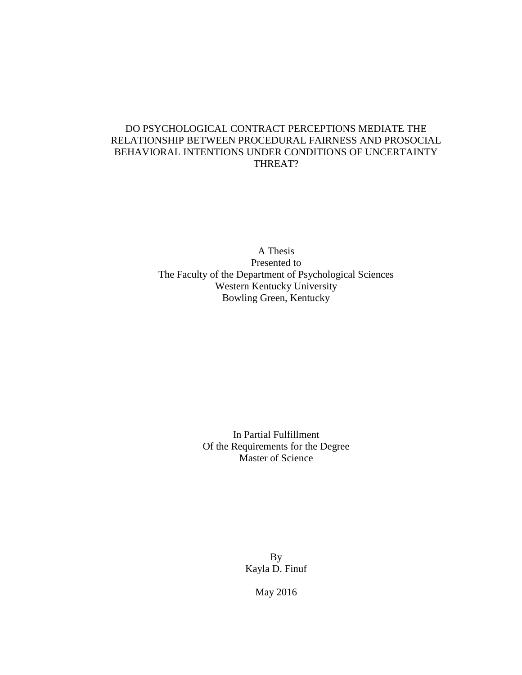## DO PSYCHOLOGICAL CONTRACT PERCEPTIONS MEDIATE THE RELATIONSHIP BETWEEN PROCEDURAL FAIRNESS AND PROSOCIAL BEHAVIORAL INTENTIONS UNDER CONDITIONS OF UNCERTAINTY THREAT?

A Thesis Presented to The Faculty of the Department of Psychological Sciences Western Kentucky University Bowling Green, Kentucky

> In Partial Fulfillment Of the Requirements for the Degree Master of Science

> > By Kayla D. Finuf

> > > May 2016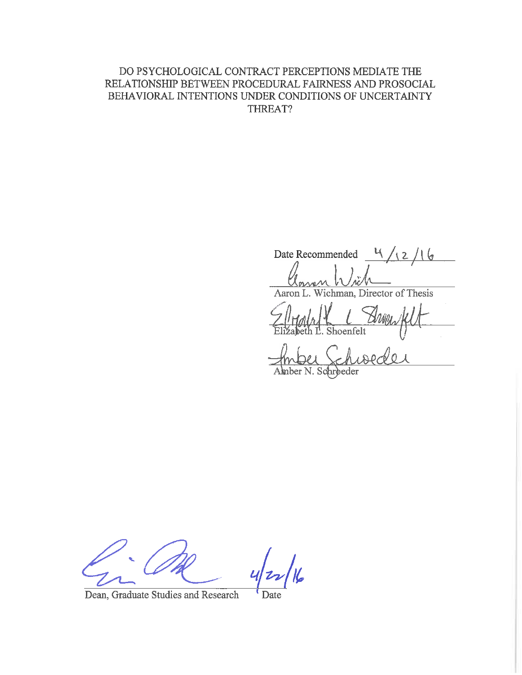## DO PSYCHOLOGICAL CONTRACT PERCEPTIONS MEDIATE THE RELATIONSHIP BETWEEN PROCEDURAL FAIRNESS AND PROSOCIAL BEHAVIORAL INTENTIONS UNDER CONDITIONS OF UNCERTAINTY THREAT?

Date Recommended  $\frac{4}{12}/16$ owen Wich

Aaron L. Wichman, Director of Thesis

Arrew Shoenfelt

 $C_A$  $100$ Amber N. Schroeder

Dean, Graduate Studies and Research

Date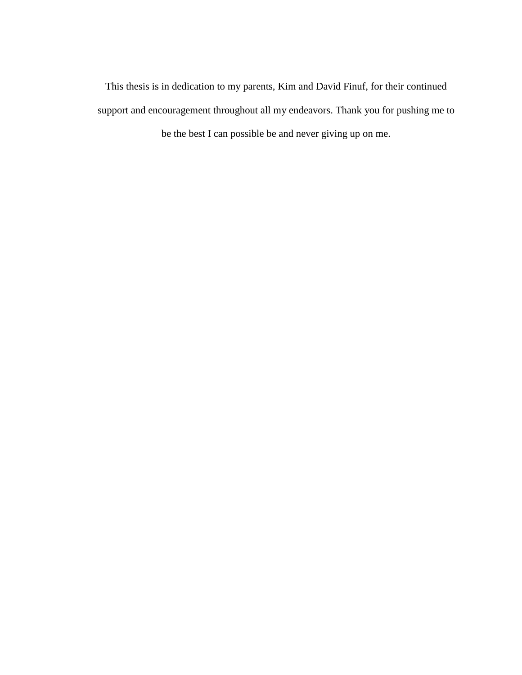This thesis is in dedication to my parents, Kim and David Finuf, for their continued support and encouragement throughout all my endeavors. Thank you for pushing me to be the best I can possible be and never giving up on me.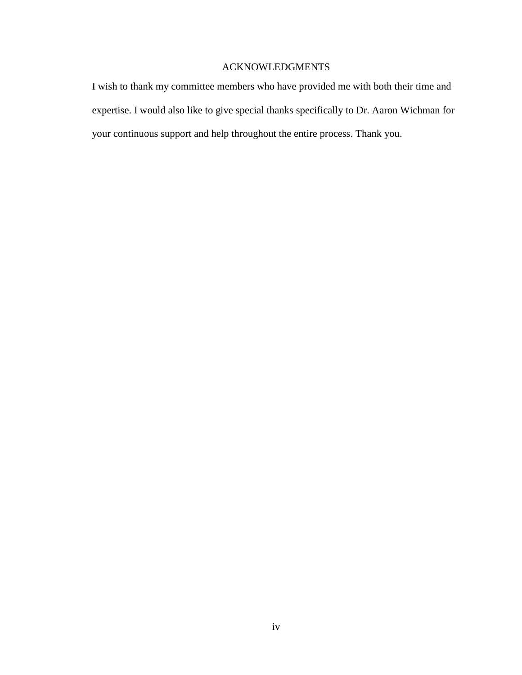## ACKNOWLEDGMENTS

I wish to thank my committee members who have provided me with both their time and expertise. I would also like to give special thanks specifically to Dr. Aaron Wichman for your continuous support and help throughout the entire process. Thank you.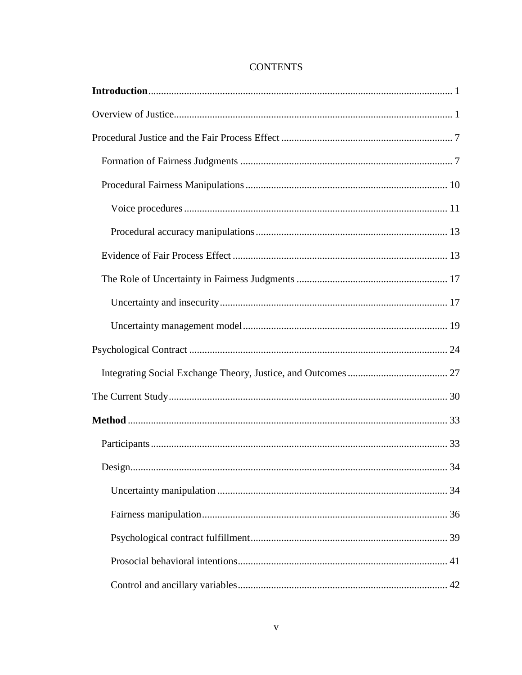## **CONTENTS**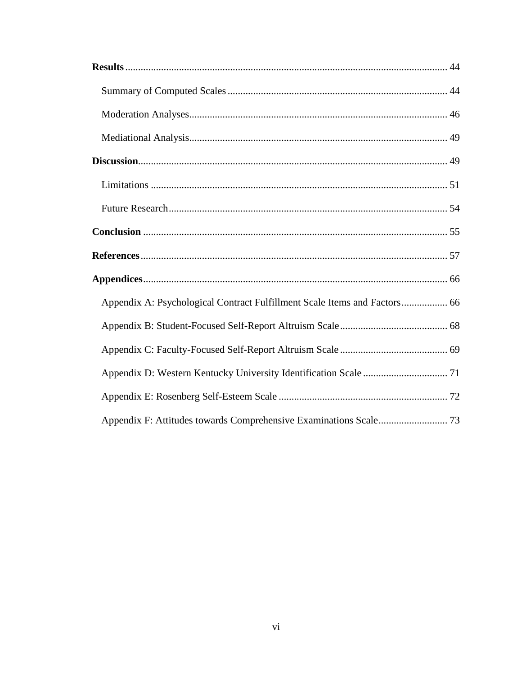| Appendix A: Psychological Contract Fulfillment Scale Items and Factors 66 |  |
|---------------------------------------------------------------------------|--|
|                                                                           |  |
|                                                                           |  |
|                                                                           |  |
|                                                                           |  |
|                                                                           |  |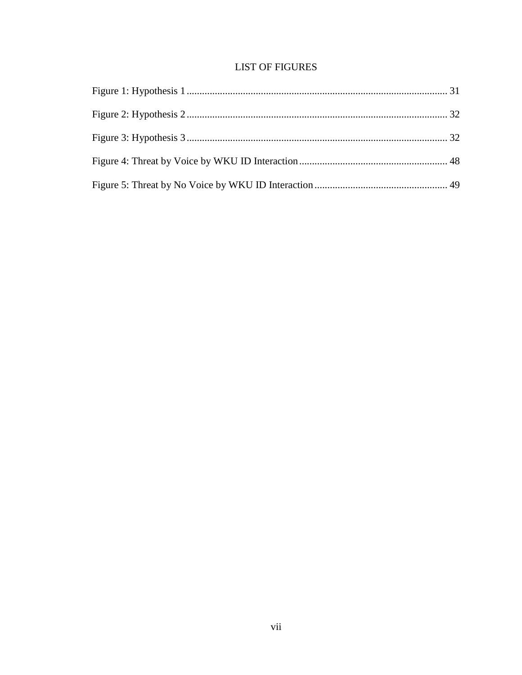# **LIST OF FIGURES**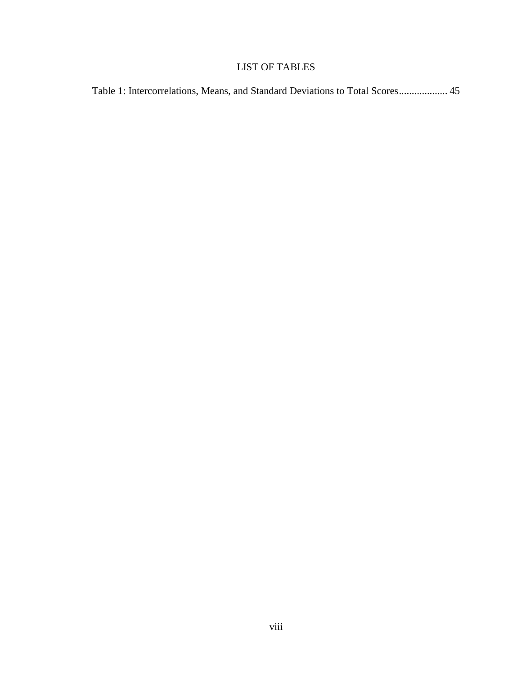# LIST OF TABLES

| Table 1: Intercorrelations, Means, and Standard Deviations to Total Scores 45 |  |  |  |
|-------------------------------------------------------------------------------|--|--|--|
|-------------------------------------------------------------------------------|--|--|--|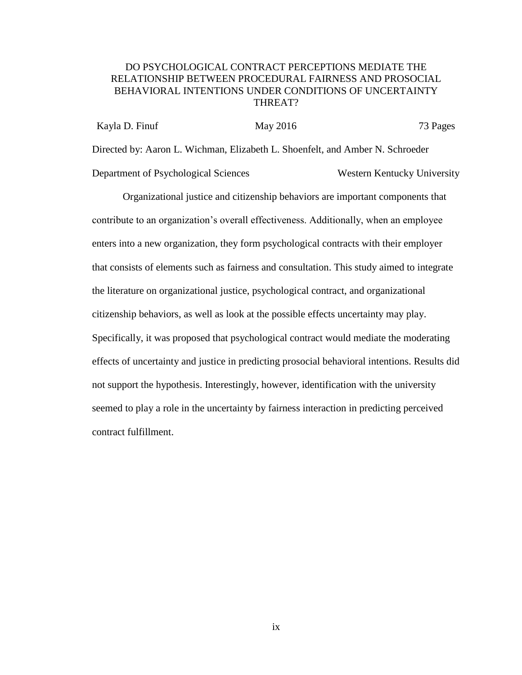## DO PSYCHOLOGICAL CONTRACT PERCEPTIONS MEDIATE THE RELATIONSHIP BETWEEN PROCEDURAL FAIRNESS AND PROSOCIAL BEHAVIORAL INTENTIONS UNDER CONDITIONS OF UNCERTAINTY THREAT?

Kayla D. Finuf May 2016 May 2016 73 Pages Directed by: Aaron L. Wichman, Elizabeth L. Shoenfelt, and Amber N. Schroeder Department of Psychological Sciences Western Kentucky University

Organizational justice and citizenship behaviors are important components that contribute to an organization's overall effectiveness. Additionally, when an employee enters into a new organization, they form psychological contracts with their employer that consists of elements such as fairness and consultation. This study aimed to integrate the literature on organizational justice, psychological contract, and organizational citizenship behaviors, as well as look at the possible effects uncertainty may play. Specifically, it was proposed that psychological contract would mediate the moderating effects of uncertainty and justice in predicting prosocial behavioral intentions. Results did not support the hypothesis. Interestingly, however, identification with the university seemed to play a role in the uncertainty by fairness interaction in predicting perceived contract fulfillment.

ix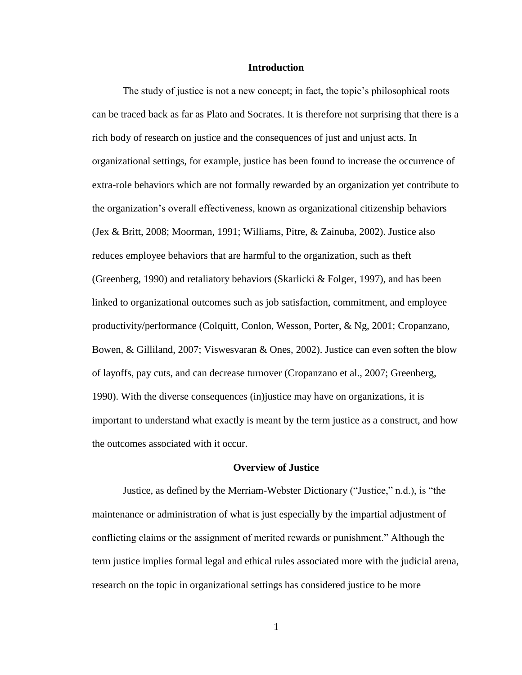## **Introduction**

<span id="page-10-0"></span>The study of justice is not a new concept; in fact, the topic's philosophical roots can be traced back as far as Plato and Socrates. It is therefore not surprising that there is a rich body of research on justice and the consequences of just and unjust acts. In organizational settings, for example, justice has been found to increase the occurrence of extra-role behaviors which are not formally rewarded by an organization yet contribute to the organization's overall effectiveness, known as organizational citizenship behaviors (Jex & Britt, 2008; Moorman, 1991; Williams, Pitre, & Zainuba, 2002). Justice also reduces employee behaviors that are harmful to the organization, such as theft (Greenberg, 1990) and retaliatory behaviors (Skarlicki & Folger, 1997), and has been linked to organizational outcomes such as job satisfaction, commitment, and employee productivity/performance (Colquitt, Conlon, Wesson, Porter, & Ng, 2001; Cropanzano, Bowen, & Gilliland, 2007; Viswesvaran & Ones, 2002). Justice can even soften the blow of layoffs, pay cuts, and can decrease turnover (Cropanzano et al., 2007; Greenberg, 1990). With the diverse consequences (in)justice may have on organizations, it is important to understand what exactly is meant by the term justice as a construct, and how the outcomes associated with it occur.

#### **Overview of Justice**

<span id="page-10-1"></span>Justice, as defined by the Merriam-Webster Dictionary ("Justice," n.d.), is "the maintenance or administration of what is just especially by the impartial adjustment of conflicting claims or the assignment of merited rewards or punishment." Although the term justice implies formal legal and ethical rules associated more with the judicial arena, research on the topic in organizational settings has considered justice to be more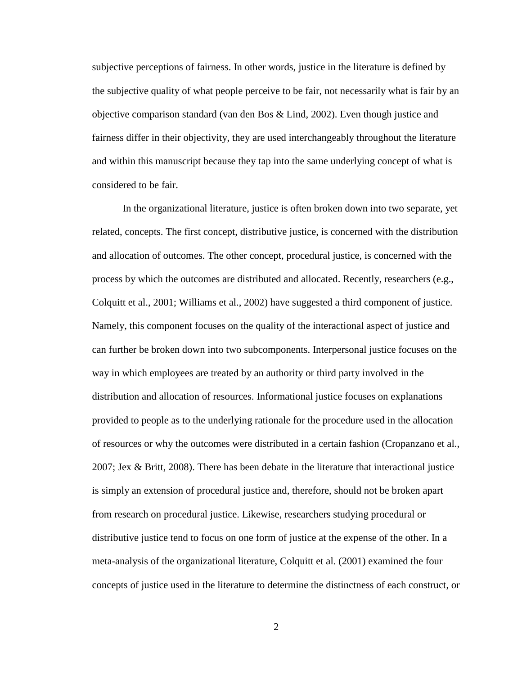subjective perceptions of fairness. In other words, justice in the literature is defined by the subjective quality of what people perceive to be fair, not necessarily what is fair by an objective comparison standard (van den Bos & Lind, 2002). Even though justice and fairness differ in their objectivity, they are used interchangeably throughout the literature and within this manuscript because they tap into the same underlying concept of what is considered to be fair.

In the organizational literature, justice is often broken down into two separate, yet related, concepts. The first concept, distributive justice, is concerned with the distribution and allocation of outcomes. The other concept, procedural justice, is concerned with the process by which the outcomes are distributed and allocated. Recently, researchers (e.g., Colquitt et al., 2001; Williams et al., 2002) have suggested a third component of justice. Namely, this component focuses on the quality of the interactional aspect of justice and can further be broken down into two subcomponents. Interpersonal justice focuses on the way in which employees are treated by an authority or third party involved in the distribution and allocation of resources. Informational justice focuses on explanations provided to people as to the underlying rationale for the procedure used in the allocation of resources or why the outcomes were distributed in a certain fashion (Cropanzano et al., 2007; Jex & Britt, 2008). There has been debate in the literature that interactional justice is simply an extension of procedural justice and, therefore, should not be broken apart from research on procedural justice. Likewise, researchers studying procedural or distributive justice tend to focus on one form of justice at the expense of the other. In a meta-analysis of the organizational literature, Colquitt et al. (2001) examined the four concepts of justice used in the literature to determine the distinctness of each construct, or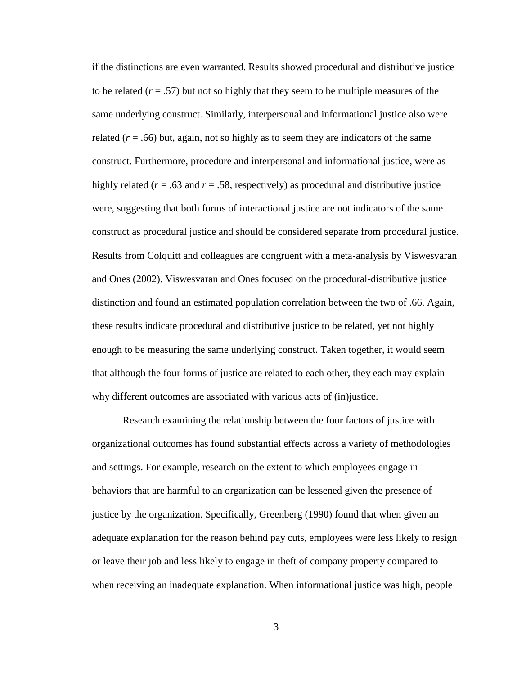if the distinctions are even warranted. Results showed procedural and distributive justice to be related  $(r = .57)$  but not so highly that they seem to be multiple measures of the same underlying construct. Similarly, interpersonal and informational justice also were related  $(r = .66)$  but, again, not so highly as to seem they are indicators of the same construct. Furthermore, procedure and interpersonal and informational justice, were as highly related (*r* = .63 and *r* = .58, respectively) as procedural and distributive justice were, suggesting that both forms of interactional justice are not indicators of the same construct as procedural justice and should be considered separate from procedural justice. Results from Colquitt and colleagues are congruent with a meta-analysis by Viswesvaran and Ones (2002). Viswesvaran and Ones focused on the procedural-distributive justice distinction and found an estimated population correlation between the two of .66. Again, these results indicate procedural and distributive justice to be related, yet not highly enough to be measuring the same underlying construct. Taken together, it would seem that although the four forms of justice are related to each other, they each may explain why different outcomes are associated with various acts of (in)justice.

Research examining the relationship between the four factors of justice with organizational outcomes has found substantial effects across a variety of methodologies and settings. For example, research on the extent to which employees engage in behaviors that are harmful to an organization can be lessened given the presence of justice by the organization. Specifically, Greenberg (1990) found that when given an adequate explanation for the reason behind pay cuts, employees were less likely to resign or leave their job and less likely to engage in theft of company property compared to when receiving an inadequate explanation. When informational justice was high, people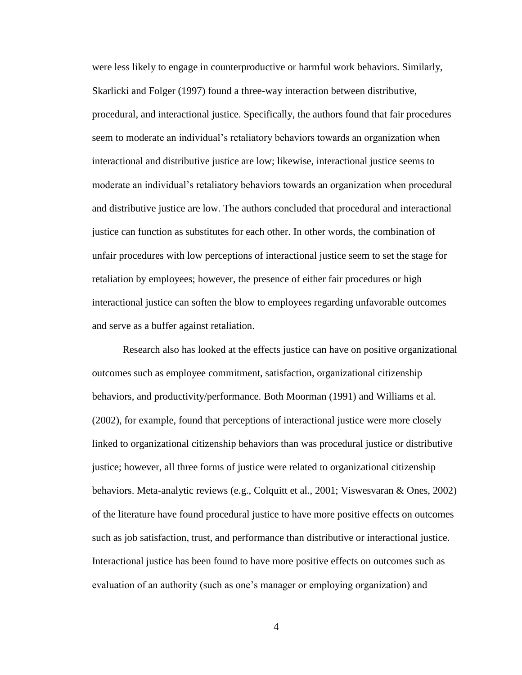were less likely to engage in counterproductive or harmful work behaviors. Similarly, Skarlicki and Folger (1997) found a three-way interaction between distributive, procedural, and interactional justice. Specifically, the authors found that fair procedures seem to moderate an individual's retaliatory behaviors towards an organization when interactional and distributive justice are low; likewise, interactional justice seems to moderate an individual's retaliatory behaviors towards an organization when procedural and distributive justice are low. The authors concluded that procedural and interactional justice can function as substitutes for each other. In other words, the combination of unfair procedures with low perceptions of interactional justice seem to set the stage for retaliation by employees; however, the presence of either fair procedures or high interactional justice can soften the blow to employees regarding unfavorable outcomes and serve as a buffer against retaliation.

Research also has looked at the effects justice can have on positive organizational outcomes such as employee commitment, satisfaction, organizational citizenship behaviors, and productivity/performance. Both Moorman (1991) and Williams et al. (2002), for example, found that perceptions of interactional justice were more closely linked to organizational citizenship behaviors than was procedural justice or distributive justice; however, all three forms of justice were related to organizational citizenship behaviors. Meta-analytic reviews (e.g., Colquitt et al., 2001; Viswesvaran & Ones, 2002) of the literature have found procedural justice to have more positive effects on outcomes such as job satisfaction, trust, and performance than distributive or interactional justice. Interactional justice has been found to have more positive effects on outcomes such as evaluation of an authority (such as one's manager or employing organization) and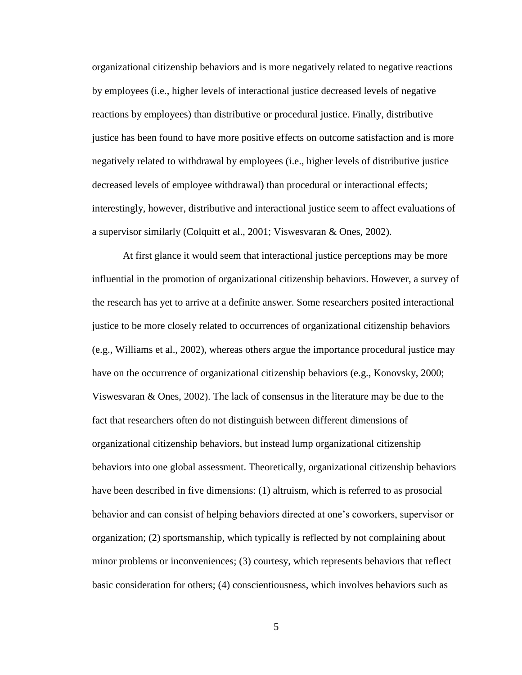organizational citizenship behaviors and is more negatively related to negative reactions by employees (i.e., higher levels of interactional justice decreased levels of negative reactions by employees) than distributive or procedural justice. Finally, distributive justice has been found to have more positive effects on outcome satisfaction and is more negatively related to withdrawal by employees (i.e., higher levels of distributive justice decreased levels of employee withdrawal) than procedural or interactional effects; interestingly, however, distributive and interactional justice seem to affect evaluations of a supervisor similarly (Colquitt et al., 2001; Viswesvaran & Ones, 2002).

At first glance it would seem that interactional justice perceptions may be more influential in the promotion of organizational citizenship behaviors. However, a survey of the research has yet to arrive at a definite answer. Some researchers posited interactional justice to be more closely related to occurrences of organizational citizenship behaviors (e.g., Williams et al., 2002), whereas others argue the importance procedural justice may have on the occurrence of organizational citizenship behaviors (e.g., Konovsky, 2000; Viswesvaran  $\&$  Ones, 2002). The lack of consensus in the literature may be due to the fact that researchers often do not distinguish between different dimensions of organizational citizenship behaviors, but instead lump organizational citizenship behaviors into one global assessment. Theoretically, organizational citizenship behaviors have been described in five dimensions: (1) altruism, which is referred to as prosocial behavior and can consist of helping behaviors directed at one's coworkers, supervisor or organization; (2) sportsmanship, which typically is reflected by not complaining about minor problems or inconveniences; (3) courtesy, which represents behaviors that reflect basic consideration for others; (4) conscientiousness, which involves behaviors such as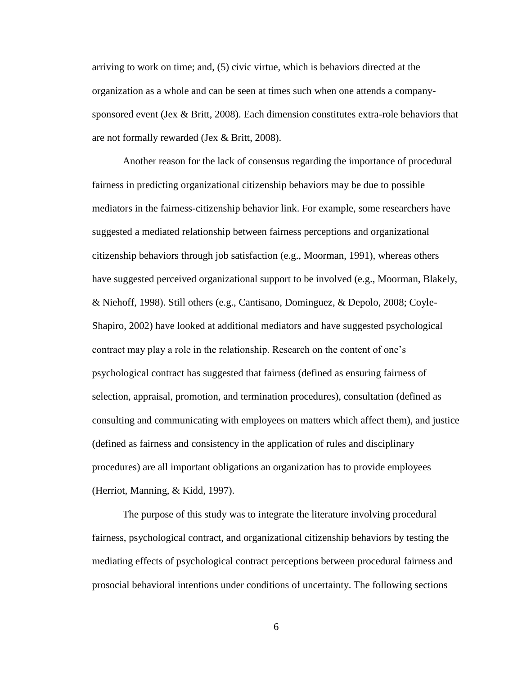arriving to work on time; and, (5) civic virtue, which is behaviors directed at the organization as a whole and can be seen at times such when one attends a companysponsored event (Jex & Britt, 2008). Each dimension constitutes extra-role behaviors that are not formally rewarded (Jex & Britt, 2008).

Another reason for the lack of consensus regarding the importance of procedural fairness in predicting organizational citizenship behaviors may be due to possible mediators in the fairness-citizenship behavior link. For example, some researchers have suggested a mediated relationship between fairness perceptions and organizational citizenship behaviors through job satisfaction (e.g., Moorman, 1991), whereas others have suggested perceived organizational support to be involved (e.g., Moorman, Blakely, & Niehoff, 1998). Still others (e.g., Cantisano, Dominguez, & Depolo, 2008; Coyle-Shapiro, 2002) have looked at additional mediators and have suggested psychological contract may play a role in the relationship. Research on the content of one's psychological contract has suggested that fairness (defined as ensuring fairness of selection, appraisal, promotion, and termination procedures), consultation (defined as consulting and communicating with employees on matters which affect them), and justice (defined as fairness and consistency in the application of rules and disciplinary procedures) are all important obligations an organization has to provide employees (Herriot, Manning, & Kidd, 1997).

The purpose of this study was to integrate the literature involving procedural fairness, psychological contract, and organizational citizenship behaviors by testing the mediating effects of psychological contract perceptions between procedural fairness and prosocial behavioral intentions under conditions of uncertainty. The following sections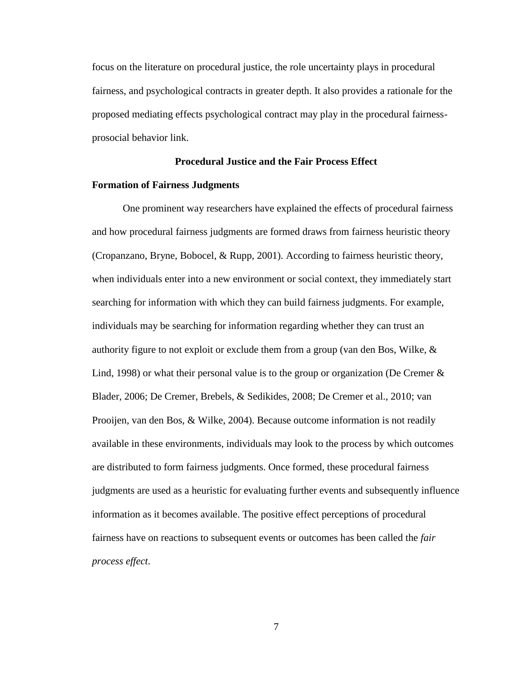focus on the literature on procedural justice, the role uncertainty plays in procedural fairness, and psychological contracts in greater depth. It also provides a rationale for the proposed mediating effects psychological contract may play in the procedural fairnessprosocial behavior link.

## **Procedural Justice and the Fair Process Effect**

## <span id="page-16-1"></span><span id="page-16-0"></span>**Formation of Fairness Judgments**

One prominent way researchers have explained the effects of procedural fairness and how procedural fairness judgments are formed draws from fairness heuristic theory (Cropanzano, Bryne, Bobocel, & Rupp, 2001). According to fairness heuristic theory, when individuals enter into a new environment or social context, they immediately start searching for information with which they can build fairness judgments. For example, individuals may be searching for information regarding whether they can trust an authority figure to not exploit or exclude them from a group (van den Bos, Wilke,  $\&$ Lind, 1998) or what their personal value is to the group or organization (De Cremer  $\&$ Blader, 2006; De Cremer, Brebels, & Sedikides, 2008; De Cremer et al., 2010; van Prooijen, van den Bos, & Wilke, 2004). Because outcome information is not readily available in these environments, individuals may look to the process by which outcomes are distributed to form fairness judgments. Once formed, these procedural fairness judgments are used as a heuristic for evaluating further events and subsequently influence information as it becomes available. The positive effect perceptions of procedural fairness have on reactions to subsequent events or outcomes has been called the *fair process effect*.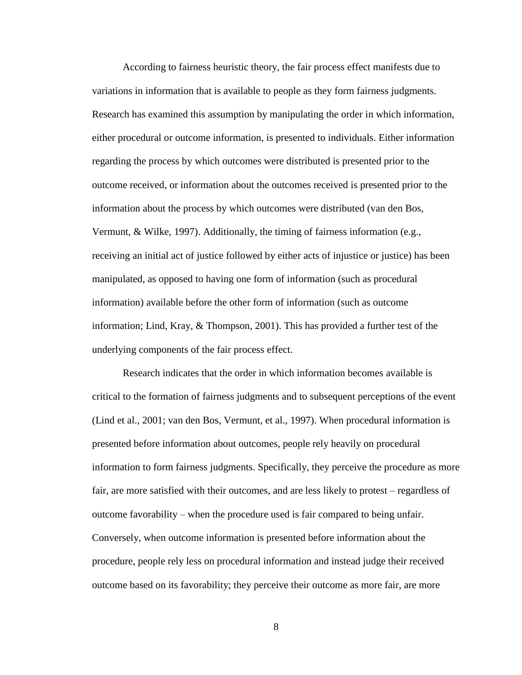According to fairness heuristic theory, the fair process effect manifests due to variations in information that is available to people as they form fairness judgments. Research has examined this assumption by manipulating the order in which information, either procedural or outcome information, is presented to individuals. Either information regarding the process by which outcomes were distributed is presented prior to the outcome received, or information about the outcomes received is presented prior to the information about the process by which outcomes were distributed (van den Bos, Vermunt, & Wilke, 1997). Additionally, the timing of fairness information (e.g., receiving an initial act of justice followed by either acts of injustice or justice) has been manipulated, as opposed to having one form of information (such as procedural information) available before the other form of information (such as outcome information; Lind, Kray, & Thompson, 2001). This has provided a further test of the underlying components of the fair process effect.

Research indicates that the order in which information becomes available is critical to the formation of fairness judgments and to subsequent perceptions of the event (Lind et al., 2001; van den Bos, Vermunt, et al., 1997). When procedural information is presented before information about outcomes, people rely heavily on procedural information to form fairness judgments. Specifically, they perceive the procedure as more fair, are more satisfied with their outcomes, and are less likely to protest – regardless of outcome favorability – when the procedure used is fair compared to being unfair. Conversely, when outcome information is presented before information about the procedure, people rely less on procedural information and instead judge their received outcome based on its favorability; they perceive their outcome as more fair, are more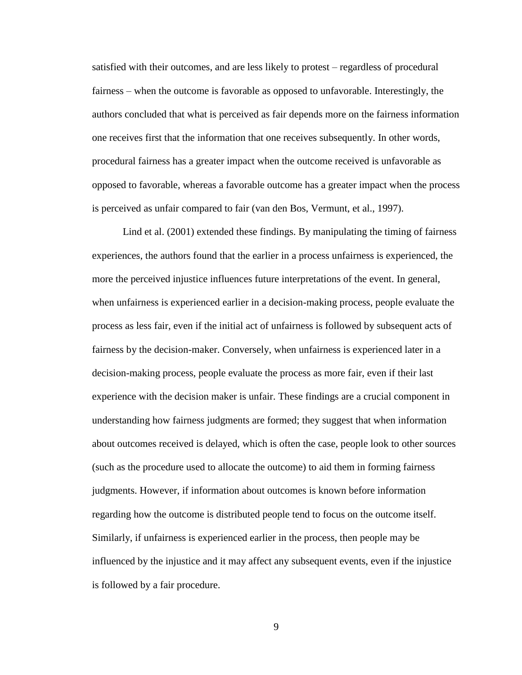satisfied with their outcomes, and are less likely to protest – regardless of procedural fairness – when the outcome is favorable as opposed to unfavorable. Interestingly, the authors concluded that what is perceived as fair depends more on the fairness information one receives first that the information that one receives subsequently. In other words, procedural fairness has a greater impact when the outcome received is unfavorable as opposed to favorable, whereas a favorable outcome has a greater impact when the process is perceived as unfair compared to fair (van den Bos, Vermunt, et al., 1997).

Lind et al. (2001) extended these findings. By manipulating the timing of fairness experiences, the authors found that the earlier in a process unfairness is experienced, the more the perceived injustice influences future interpretations of the event. In general, when unfairness is experienced earlier in a decision-making process, people evaluate the process as less fair, even if the initial act of unfairness is followed by subsequent acts of fairness by the decision-maker. Conversely, when unfairness is experienced later in a decision-making process, people evaluate the process as more fair, even if their last experience with the decision maker is unfair. These findings are a crucial component in understanding how fairness judgments are formed; they suggest that when information about outcomes received is delayed, which is often the case, people look to other sources (such as the procedure used to allocate the outcome) to aid them in forming fairness judgments. However, if information about outcomes is known before information regarding how the outcome is distributed people tend to focus on the outcome itself. Similarly, if unfairness is experienced earlier in the process, then people may be influenced by the injustice and it may affect any subsequent events, even if the injustice is followed by a fair procedure.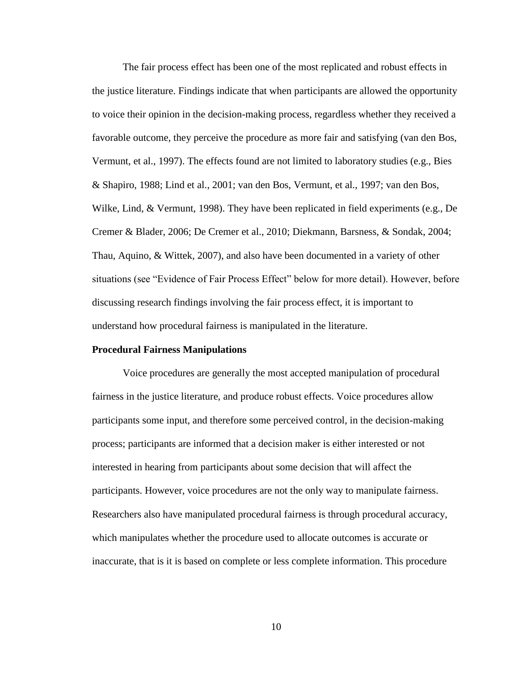The fair process effect has been one of the most replicated and robust effects in the justice literature. Findings indicate that when participants are allowed the opportunity to voice their opinion in the decision-making process, regardless whether they received a favorable outcome, they perceive the procedure as more fair and satisfying (van den Bos, Vermunt, et al., 1997). The effects found are not limited to laboratory studies (e.g., Bies & Shapiro, 1988; Lind et al., 2001; van den Bos, Vermunt, et al., 1997; van den Bos, Wilke, Lind, & Vermunt, 1998). They have been replicated in field experiments (e.g., De Cremer & Blader, 2006; De Cremer et al., 2010; Diekmann, Barsness, & Sondak, 2004; Thau, Aquino, & Wittek, 2007), and also have been documented in a variety of other situations (see "Evidence of Fair Process Effect" below for more detail). However, before discussing research findings involving the fair process effect, it is important to understand how procedural fairness is manipulated in the literature.

## <span id="page-19-0"></span>**Procedural Fairness Manipulations**

Voice procedures are generally the most accepted manipulation of procedural fairness in the justice literature, and produce robust effects. Voice procedures allow participants some input, and therefore some perceived control, in the decision-making process; participants are informed that a decision maker is either interested or not interested in hearing from participants about some decision that will affect the participants. However, voice procedures are not the only way to manipulate fairness. Researchers also have manipulated procedural fairness is through procedural accuracy, which manipulates whether the procedure used to allocate outcomes is accurate or inaccurate, that is it is based on complete or less complete information. This procedure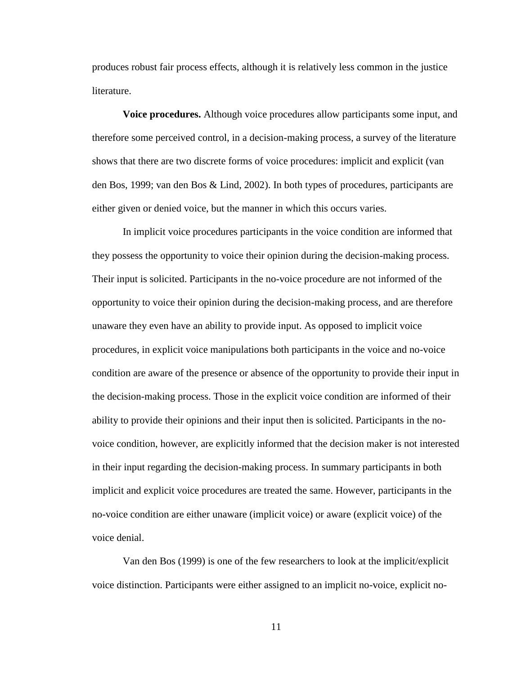produces robust fair process effects, although it is relatively less common in the justice literature.

<span id="page-20-0"></span>**Voice procedures.** Although voice procedures allow participants some input, and therefore some perceived control, in a decision-making process, a survey of the literature shows that there are two discrete forms of voice procedures: implicit and explicit (van den Bos, 1999; van den Bos & Lind, 2002). In both types of procedures, participants are either given or denied voice, but the manner in which this occurs varies.

In implicit voice procedures participants in the voice condition are informed that they possess the opportunity to voice their opinion during the decision-making process. Their input is solicited. Participants in the no-voice procedure are not informed of the opportunity to voice their opinion during the decision-making process, and are therefore unaware they even have an ability to provide input. As opposed to implicit voice procedures, in explicit voice manipulations both participants in the voice and no-voice condition are aware of the presence or absence of the opportunity to provide their input in the decision-making process. Those in the explicit voice condition are informed of their ability to provide their opinions and their input then is solicited. Participants in the novoice condition, however, are explicitly informed that the decision maker is not interested in their input regarding the decision-making process. In summary participants in both implicit and explicit voice procedures are treated the same. However, participants in the no-voice condition are either unaware (implicit voice) or aware (explicit voice) of the voice denial.

Van den Bos (1999) is one of the few researchers to look at the implicit/explicit voice distinction. Participants were either assigned to an implicit no-voice, explicit no-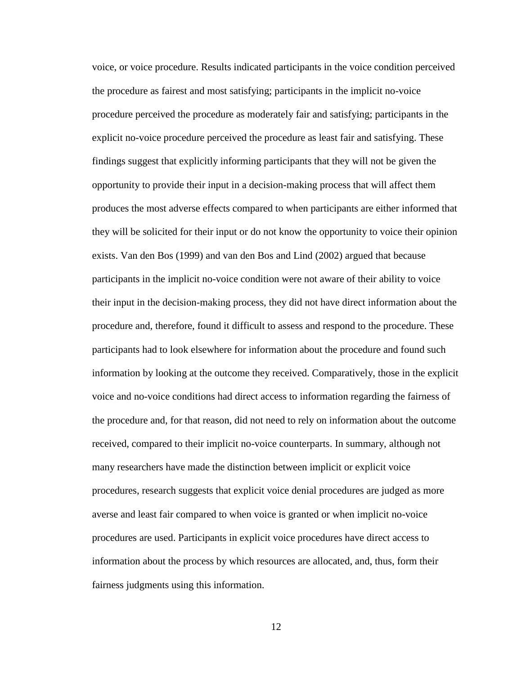voice, or voice procedure. Results indicated participants in the voice condition perceived the procedure as fairest and most satisfying; participants in the implicit no-voice procedure perceived the procedure as moderately fair and satisfying; participants in the explicit no-voice procedure perceived the procedure as least fair and satisfying. These findings suggest that explicitly informing participants that they will not be given the opportunity to provide their input in a decision-making process that will affect them produces the most adverse effects compared to when participants are either informed that they will be solicited for their input or do not know the opportunity to voice their opinion exists. Van den Bos (1999) and van den Bos and Lind (2002) argued that because participants in the implicit no-voice condition were not aware of their ability to voice their input in the decision-making process, they did not have direct information about the procedure and, therefore, found it difficult to assess and respond to the procedure. These participants had to look elsewhere for information about the procedure and found such information by looking at the outcome they received. Comparatively, those in the explicit voice and no-voice conditions had direct access to information regarding the fairness of the procedure and, for that reason, did not need to rely on information about the outcome received, compared to their implicit no-voice counterparts. In summary, although not many researchers have made the distinction between implicit or explicit voice procedures, research suggests that explicit voice denial procedures are judged as more averse and least fair compared to when voice is granted or when implicit no-voice procedures are used. Participants in explicit voice procedures have direct access to information about the process by which resources are allocated, and, thus, form their fairness judgments using this information.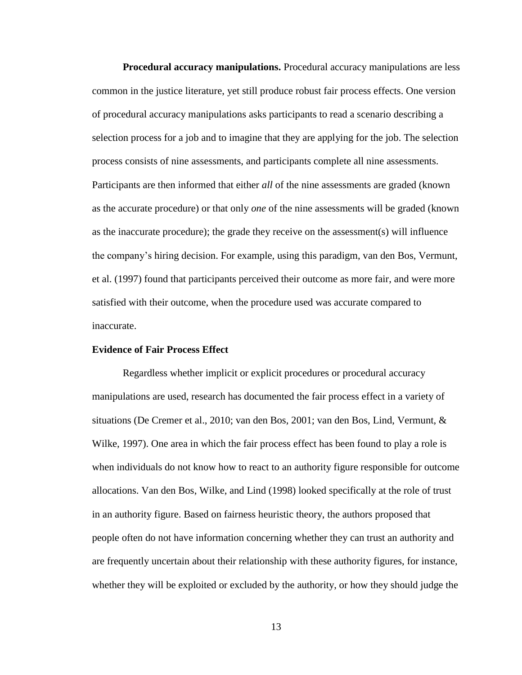<span id="page-22-0"></span>**Procedural accuracy manipulations.** Procedural accuracy manipulations are less common in the justice literature, yet still produce robust fair process effects. One version of procedural accuracy manipulations asks participants to read a scenario describing a selection process for a job and to imagine that they are applying for the job. The selection process consists of nine assessments, and participants complete all nine assessments. Participants are then informed that either *all* of the nine assessments are graded (known as the accurate procedure) or that only *one* of the nine assessments will be graded (known as the inaccurate procedure); the grade they receive on the assessment(s) will influence the company's hiring decision. For example, using this paradigm, van den Bos, Vermunt, et al. (1997) found that participants perceived their outcome as more fair, and were more satisfied with their outcome, when the procedure used was accurate compared to inaccurate.

## <span id="page-22-1"></span>**Evidence of Fair Process Effect**

Regardless whether implicit or explicit procedures or procedural accuracy manipulations are used, research has documented the fair process effect in a variety of situations (De Cremer et al., 2010; van den Bos, 2001; van den Bos, Lind, Vermunt, & Wilke, 1997). One area in which the fair process effect has been found to play a role is when individuals do not know how to react to an authority figure responsible for outcome allocations. Van den Bos, Wilke, and Lind (1998) looked specifically at the role of trust in an authority figure. Based on fairness heuristic theory, the authors proposed that people often do not have information concerning whether they can trust an authority and are frequently uncertain about their relationship with these authority figures, for instance, whether they will be exploited or excluded by the authority, or how they should judge the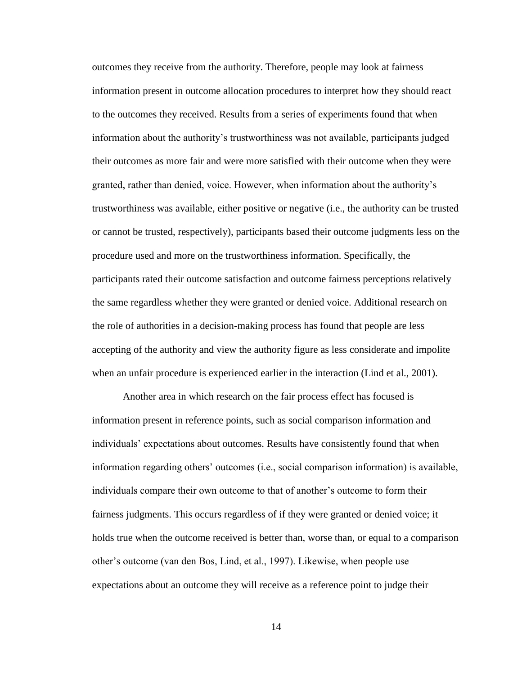outcomes they receive from the authority. Therefore, people may look at fairness information present in outcome allocation procedures to interpret how they should react to the outcomes they received. Results from a series of experiments found that when information about the authority's trustworthiness was not available, participants judged their outcomes as more fair and were more satisfied with their outcome when they were granted, rather than denied, voice. However, when information about the authority's trustworthiness was available, either positive or negative (i.e., the authority can be trusted or cannot be trusted, respectively), participants based their outcome judgments less on the procedure used and more on the trustworthiness information. Specifically, the participants rated their outcome satisfaction and outcome fairness perceptions relatively the same regardless whether they were granted or denied voice. Additional research on the role of authorities in a decision-making process has found that people are less accepting of the authority and view the authority figure as less considerate and impolite when an unfair procedure is experienced earlier in the interaction (Lind et al., 2001).

Another area in which research on the fair process effect has focused is information present in reference points, such as social comparison information and individuals' expectations about outcomes. Results have consistently found that when information regarding others' outcomes (i.e., social comparison information) is available, individuals compare their own outcome to that of another's outcome to form their fairness judgments. This occurs regardless of if they were granted or denied voice; it holds true when the outcome received is better than, worse than, or equal to a comparison other's outcome (van den Bos, Lind, et al., 1997). Likewise, when people use expectations about an outcome they will receive as a reference point to judge their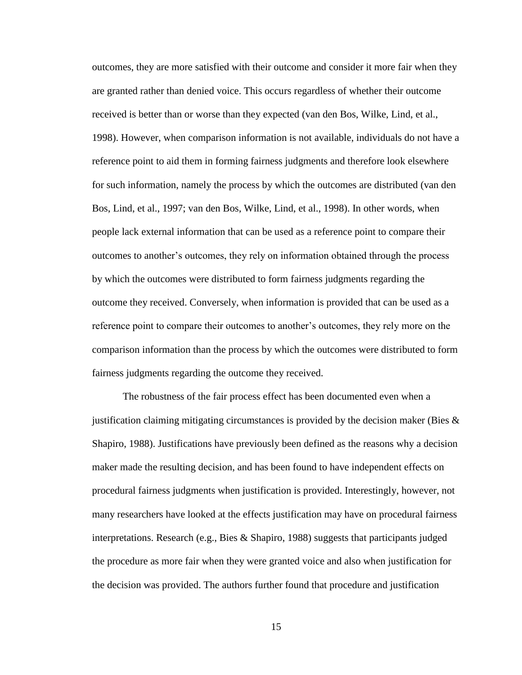outcomes, they are more satisfied with their outcome and consider it more fair when they are granted rather than denied voice. This occurs regardless of whether their outcome received is better than or worse than they expected (van den Bos, Wilke, Lind, et al., 1998). However, when comparison information is not available, individuals do not have a reference point to aid them in forming fairness judgments and therefore look elsewhere for such information, namely the process by which the outcomes are distributed (van den Bos, Lind, et al., 1997; van den Bos, Wilke, Lind, et al., 1998). In other words, when people lack external information that can be used as a reference point to compare their outcomes to another's outcomes, they rely on information obtained through the process by which the outcomes were distributed to form fairness judgments regarding the outcome they received. Conversely, when information is provided that can be used as a reference point to compare their outcomes to another's outcomes, they rely more on the comparison information than the process by which the outcomes were distributed to form fairness judgments regarding the outcome they received.

The robustness of the fair process effect has been documented even when a justification claiming mitigating circumstances is provided by the decision maker (Bies  $\&$ Shapiro, 1988). Justifications have previously been defined as the reasons why a decision maker made the resulting decision, and has been found to have independent effects on procedural fairness judgments when justification is provided. Interestingly, however, not many researchers have looked at the effects justification may have on procedural fairness interpretations. Research (e.g., Bies & Shapiro, 1988) suggests that participants judged the procedure as more fair when they were granted voice and also when justification for the decision was provided. The authors further found that procedure and justification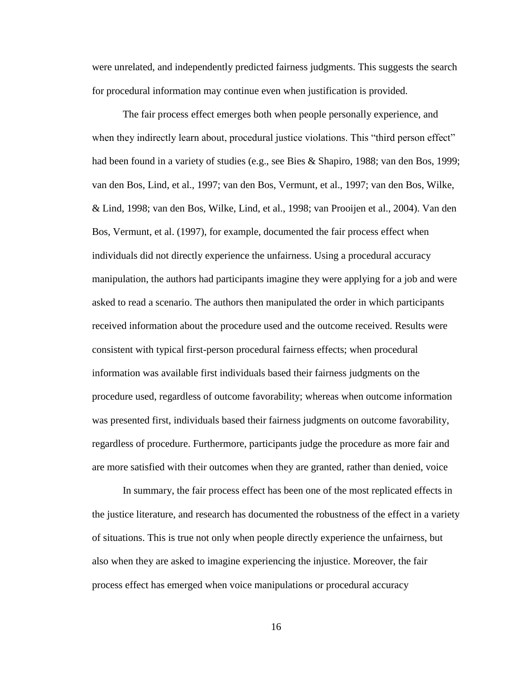were unrelated, and independently predicted fairness judgments. This suggests the search for procedural information may continue even when justification is provided.

The fair process effect emerges both when people personally experience, and when they indirectly learn about, procedural justice violations. This "third person effect" had been found in a variety of studies (e.g., see Bies & Shapiro, 1988; van den Bos, 1999; van den Bos, Lind, et al., 1997; van den Bos, Vermunt, et al., 1997; van den Bos, Wilke, & Lind, 1998; van den Bos, Wilke, Lind, et al., 1998; van Prooijen et al., 2004). Van den Bos, Vermunt, et al. (1997), for example, documented the fair process effect when individuals did not directly experience the unfairness. Using a procedural accuracy manipulation, the authors had participants imagine they were applying for a job and were asked to read a scenario. The authors then manipulated the order in which participants received information about the procedure used and the outcome received. Results were consistent with typical first-person procedural fairness effects; when procedural information was available first individuals based their fairness judgments on the procedure used, regardless of outcome favorability; whereas when outcome information was presented first, individuals based their fairness judgments on outcome favorability, regardless of procedure. Furthermore, participants judge the procedure as more fair and are more satisfied with their outcomes when they are granted, rather than denied, voice

In summary, the fair process effect has been one of the most replicated effects in the justice literature, and research has documented the robustness of the effect in a variety of situations. This is true not only when people directly experience the unfairness, but also when they are asked to imagine experiencing the injustice. Moreover, the fair process effect has emerged when voice manipulations or procedural accuracy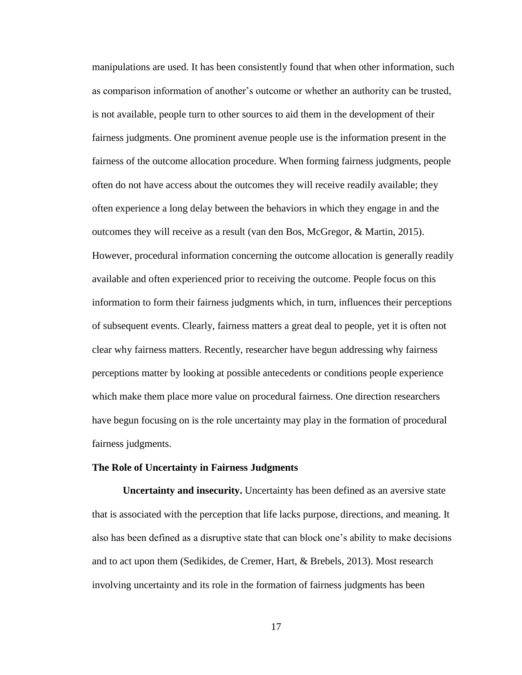manipulations are used. It has been consistently found that when other information, such as comparison information of another's outcome or whether an authority can be trusted, is not available, people turn to other sources to aid them in the development of their fairness judgments. One prominent avenue people use is the information present in the fairness of the outcome allocation procedure. When forming fairness judgments, people often do not have access about the outcomes they will receive readily available; they often experience a long delay between the behaviors in which they engage in and the outcomes they will receive as a result (van den Bos, McGregor, & Martin, 2015). However, procedural information concerning the outcome allocation is generally readily available and often experienced prior to receiving the outcome. People focus on this information to form their fairness judgments which, in turn, influences their perceptions of subsequent events. Clearly, fairness matters a great deal to people, yet it is often not clear why fairness matters. Recently, researcher have begun addressing why fairness perceptions matter by looking at possible antecedents or conditions people experience which make them place more value on procedural fairness. One direction researchers have begun focusing on is the role uncertainty may play in the formation of procedural fairness judgments.

#### <span id="page-26-0"></span>**The Role of Uncertainty in Fairness Judgments**

<span id="page-26-1"></span>**Uncertainty and insecurity.** Uncertainty has been defined as an aversive state that is associated with the perception that life lacks purpose, directions, and meaning. It also has been defined as a disruptive state that can block one's ability to make decisions and to act upon them (Sedikides, de Cremer, Hart, & Brebels, 2013). Most research involving uncertainty and its role in the formation of fairness judgments has been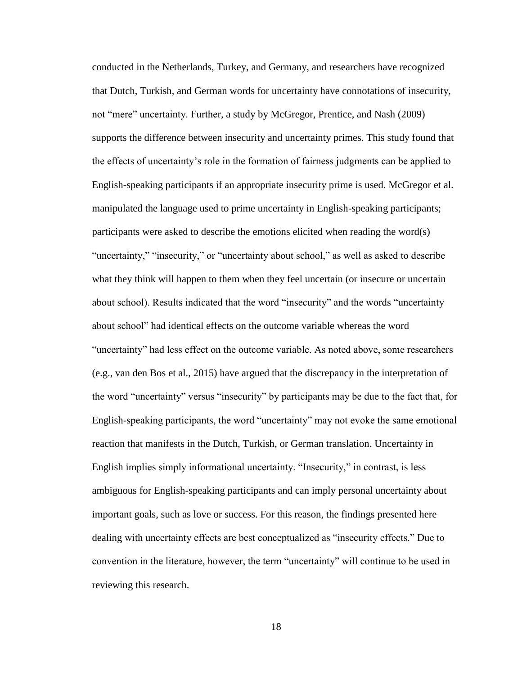conducted in the Netherlands, Turkey, and Germany, and researchers have recognized that Dutch, Turkish, and German words for uncertainty have connotations of insecurity, not "mere" uncertainty. Further, a study by McGregor, Prentice, and Nash (2009) supports the difference between insecurity and uncertainty primes. This study found that the effects of uncertainty's role in the formation of fairness judgments can be applied to English-speaking participants if an appropriate insecurity prime is used. McGregor et al. manipulated the language used to prime uncertainty in English-speaking participants; participants were asked to describe the emotions elicited when reading the word(s) "uncertainty," "insecurity," or "uncertainty about school," as well as asked to describe what they think will happen to them when they feel uncertain (or insecure or uncertain about school). Results indicated that the word "insecurity" and the words "uncertainty about school" had identical effects on the outcome variable whereas the word "uncertainty" had less effect on the outcome variable. As noted above, some researchers (e.g., van den Bos et al., 2015) have argued that the discrepancy in the interpretation of the word "uncertainty" versus "insecurity" by participants may be due to the fact that, for English-speaking participants, the word "uncertainty" may not evoke the same emotional reaction that manifests in the Dutch, Turkish, or German translation. Uncertainty in English implies simply informational uncertainty. "Insecurity," in contrast, is less ambiguous for English-speaking participants and can imply personal uncertainty about important goals, such as love or success. For this reason, the findings presented here dealing with uncertainty effects are best conceptualized as "insecurity effects." Due to convention in the literature, however, the term "uncertainty" will continue to be used in reviewing this research.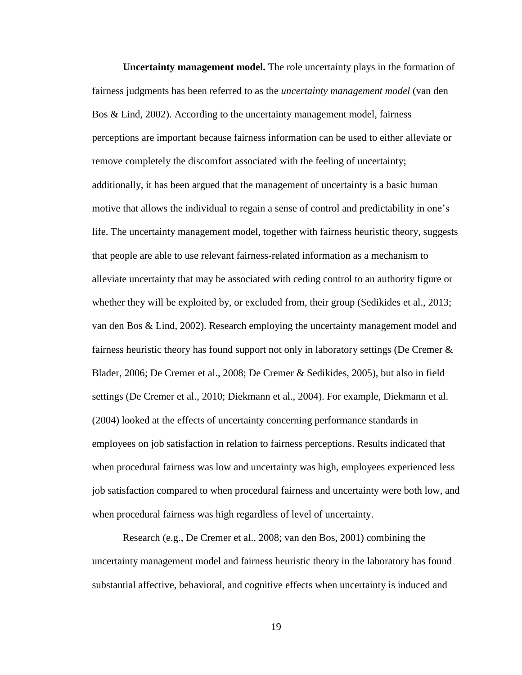<span id="page-28-0"></span>**Uncertainty management model.** The role uncertainty plays in the formation of fairness judgments has been referred to as the *uncertainty management model* (van den Bos & Lind, 2002). According to the uncertainty management model, fairness perceptions are important because fairness information can be used to either alleviate or remove completely the discomfort associated with the feeling of uncertainty; additionally, it has been argued that the management of uncertainty is a basic human motive that allows the individual to regain a sense of control and predictability in one's life. The uncertainty management model, together with fairness heuristic theory, suggests that people are able to use relevant fairness-related information as a mechanism to alleviate uncertainty that may be associated with ceding control to an authority figure or whether they will be exploited by, or excluded from, their group (Sedikides et al., 2013; van den Bos & Lind, 2002). Research employing the uncertainty management model and fairness heuristic theory has found support not only in laboratory settings (De Cremer & Blader, 2006; De Cremer et al., 2008; De Cremer & Sedikides, 2005), but also in field settings (De Cremer et al., 2010; Diekmann et al., 2004). For example, Diekmann et al. (2004) looked at the effects of uncertainty concerning performance standards in employees on job satisfaction in relation to fairness perceptions. Results indicated that when procedural fairness was low and uncertainty was high, employees experienced less job satisfaction compared to when procedural fairness and uncertainty were both low, and when procedural fairness was high regardless of level of uncertainty.

Research (e.g., De Cremer et al., 2008; van den Bos, 2001) combining the uncertainty management model and fairness heuristic theory in the laboratory has found substantial affective, behavioral, and cognitive effects when uncertainty is induced and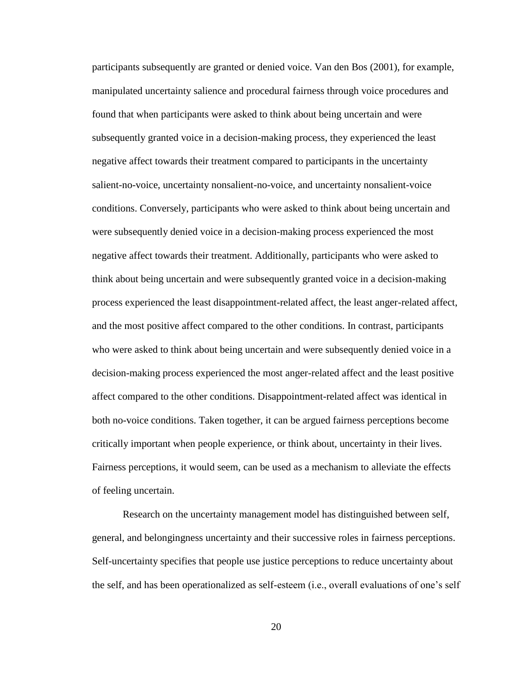participants subsequently are granted or denied voice. Van den Bos (2001), for example, manipulated uncertainty salience and procedural fairness through voice procedures and found that when participants were asked to think about being uncertain and were subsequently granted voice in a decision-making process, they experienced the least negative affect towards their treatment compared to participants in the uncertainty salient-no-voice, uncertainty nonsalient-no-voice, and uncertainty nonsalient-voice conditions. Conversely, participants who were asked to think about being uncertain and were subsequently denied voice in a decision-making process experienced the most negative affect towards their treatment. Additionally, participants who were asked to think about being uncertain and were subsequently granted voice in a decision-making process experienced the least disappointment-related affect, the least anger-related affect, and the most positive affect compared to the other conditions. In contrast, participants who were asked to think about being uncertain and were subsequently denied voice in a decision-making process experienced the most anger-related affect and the least positive affect compared to the other conditions. Disappointment-related affect was identical in both no-voice conditions. Taken together, it can be argued fairness perceptions become critically important when people experience, or think about, uncertainty in their lives. Fairness perceptions, it would seem, can be used as a mechanism to alleviate the effects of feeling uncertain.

Research on the uncertainty management model has distinguished between self, general, and belongingness uncertainty and their successive roles in fairness perceptions. Self-uncertainty specifies that people use justice perceptions to reduce uncertainty about the self, and has been operationalized as self-esteem (i.e., overall evaluations of one's self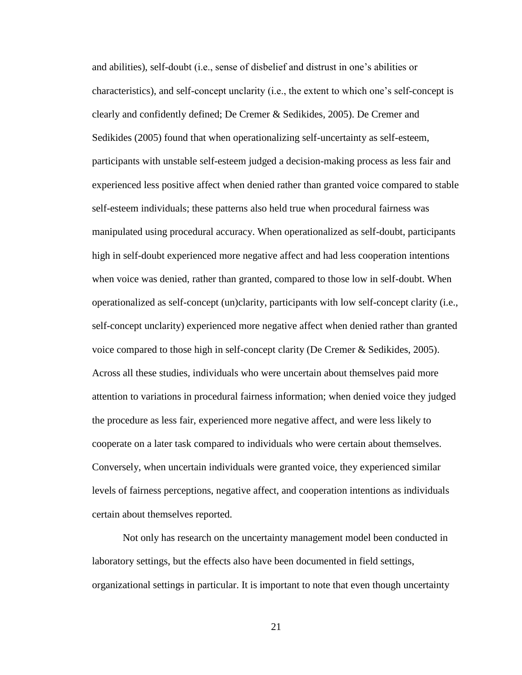and abilities), self-doubt (i.e., sense of disbelief and distrust in one's abilities or characteristics), and self-concept unclarity (i.e., the extent to which one's self-concept is clearly and confidently defined; De Cremer & Sedikides, 2005). De Cremer and Sedikides (2005) found that when operationalizing self-uncertainty as self-esteem, participants with unstable self-esteem judged a decision-making process as less fair and experienced less positive affect when denied rather than granted voice compared to stable self-esteem individuals; these patterns also held true when procedural fairness was manipulated using procedural accuracy. When operationalized as self-doubt, participants high in self-doubt experienced more negative affect and had less cooperation intentions when voice was denied, rather than granted, compared to those low in self-doubt. When operationalized as self-concept (un)clarity, participants with low self-concept clarity (i.e., self-concept unclarity) experienced more negative affect when denied rather than granted voice compared to those high in self-concept clarity (De Cremer & Sedikides, 2005). Across all these studies, individuals who were uncertain about themselves paid more attention to variations in procedural fairness information; when denied voice they judged the procedure as less fair, experienced more negative affect, and were less likely to cooperate on a later task compared to individuals who were certain about themselves. Conversely, when uncertain individuals were granted voice, they experienced similar levels of fairness perceptions, negative affect, and cooperation intentions as individuals certain about themselves reported.

Not only has research on the uncertainty management model been conducted in laboratory settings, but the effects also have been documented in field settings, organizational settings in particular. It is important to note that even though uncertainty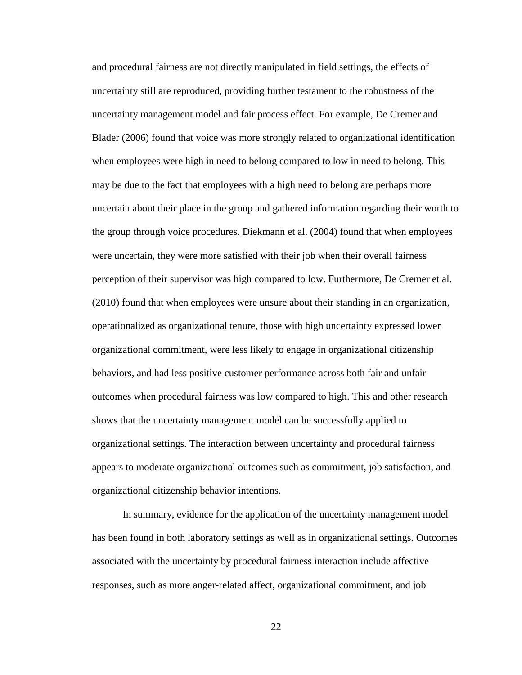and procedural fairness are not directly manipulated in field settings, the effects of uncertainty still are reproduced, providing further testament to the robustness of the uncertainty management model and fair process effect. For example, De Cremer and Blader (2006) found that voice was more strongly related to organizational identification when employees were high in need to belong compared to low in need to belong. This may be due to the fact that employees with a high need to belong are perhaps more uncertain about their place in the group and gathered information regarding their worth to the group through voice procedures. Diekmann et al. (2004) found that when employees were uncertain, they were more satisfied with their job when their overall fairness perception of their supervisor was high compared to low. Furthermore, De Cremer et al. (2010) found that when employees were unsure about their standing in an organization, operationalized as organizational tenure, those with high uncertainty expressed lower organizational commitment, were less likely to engage in organizational citizenship behaviors, and had less positive customer performance across both fair and unfair outcomes when procedural fairness was low compared to high. This and other research shows that the uncertainty management model can be successfully applied to organizational settings. The interaction between uncertainty and procedural fairness appears to moderate organizational outcomes such as commitment, job satisfaction, and organizational citizenship behavior intentions.

In summary, evidence for the application of the uncertainty management model has been found in both laboratory settings as well as in organizational settings. Outcomes associated with the uncertainty by procedural fairness interaction include affective responses, such as more anger-related affect, organizational commitment, and job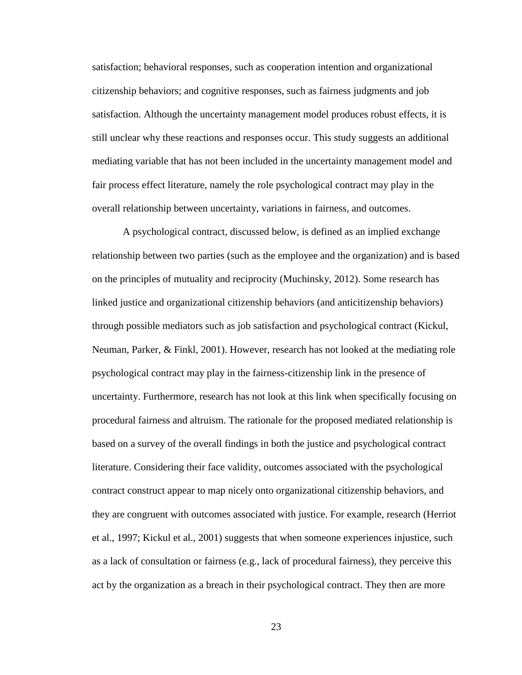satisfaction; behavioral responses, such as cooperation intention and organizational citizenship behaviors; and cognitive responses, such as fairness judgments and job satisfaction. Although the uncertainty management model produces robust effects, it is still unclear why these reactions and responses occur. This study suggests an additional mediating variable that has not been included in the uncertainty management model and fair process effect literature, namely the role psychological contract may play in the overall relationship between uncertainty, variations in fairness, and outcomes.

A psychological contract, discussed below, is defined as an implied exchange relationship between two parties (such as the employee and the organization) and is based on the principles of mutuality and reciprocity (Muchinsky, 2012). Some research has linked justice and organizational citizenship behaviors (and anticitizenship behaviors) through possible mediators such as job satisfaction and psychological contract (Kickul, Neuman, Parker, & Finkl, 2001). However, research has not looked at the mediating role psychological contract may play in the fairness-citizenship link in the presence of uncertainty. Furthermore, research has not look at this link when specifically focusing on procedural fairness and altruism. The rationale for the proposed mediated relationship is based on a survey of the overall findings in both the justice and psychological contract literature. Considering their face validity, outcomes associated with the psychological contract construct appear to map nicely onto organizational citizenship behaviors, and they are congruent with outcomes associated with justice. For example, research (Herriot et al., 1997; Kickul et al., 2001) suggests that when someone experiences injustice, such as a lack of consultation or fairness (e.g., lack of procedural fairness), they perceive this act by the organization as a breach in their psychological contract. They then are more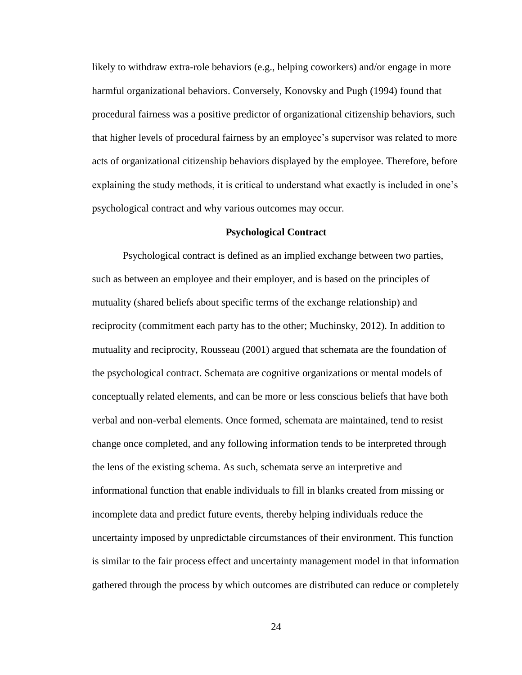likely to withdraw extra-role behaviors (e.g., helping coworkers) and/or engage in more harmful organizational behaviors. Conversely, Konovsky and Pugh (1994) found that procedural fairness was a positive predictor of organizational citizenship behaviors, such that higher levels of procedural fairness by an employee's supervisor was related to more acts of organizational citizenship behaviors displayed by the employee. Therefore, before explaining the study methods, it is critical to understand what exactly is included in one's psychological contract and why various outcomes may occur.

#### **Psychological Contract**

<span id="page-33-0"></span>Psychological contract is defined as an implied exchange between two parties, such as between an employee and their employer, and is based on the principles of mutuality (shared beliefs about specific terms of the exchange relationship) and reciprocity (commitment each party has to the other; Muchinsky, 2012). In addition to mutuality and reciprocity, Rousseau (2001) argued that schemata are the foundation of the psychological contract. Schemata are cognitive organizations or mental models of conceptually related elements, and can be more or less conscious beliefs that have both verbal and non-verbal elements. Once formed, schemata are maintained, tend to resist change once completed, and any following information tends to be interpreted through the lens of the existing schema. As such, schemata serve an interpretive and informational function that enable individuals to fill in blanks created from missing or incomplete data and predict future events, thereby helping individuals reduce the uncertainty imposed by unpredictable circumstances of their environment. This function is similar to the fair process effect and uncertainty management model in that information gathered through the process by which outcomes are distributed can reduce or completely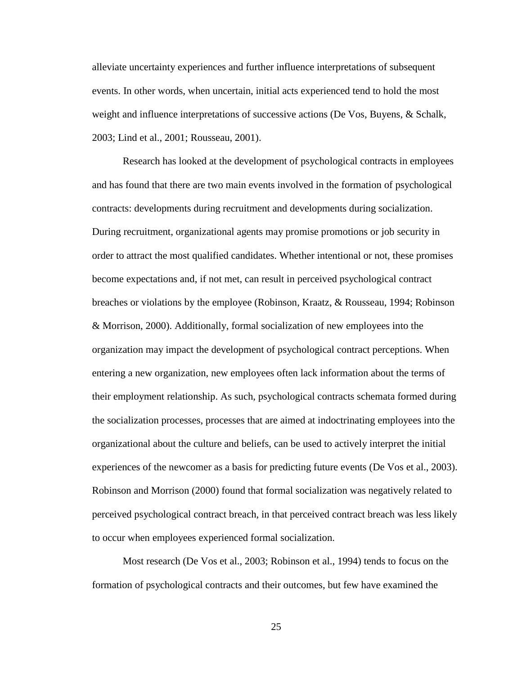alleviate uncertainty experiences and further influence interpretations of subsequent events. In other words, when uncertain, initial acts experienced tend to hold the most weight and influence interpretations of successive actions (De Vos, Buyens, & Schalk, 2003; Lind et al., 2001; Rousseau, 2001).

Research has looked at the development of psychological contracts in employees and has found that there are two main events involved in the formation of psychological contracts: developments during recruitment and developments during socialization. During recruitment, organizational agents may promise promotions or job security in order to attract the most qualified candidates. Whether intentional or not, these promises become expectations and, if not met, can result in perceived psychological contract breaches or violations by the employee (Robinson, Kraatz, & Rousseau, 1994; Robinson & Morrison, 2000). Additionally, formal socialization of new employees into the organization may impact the development of psychological contract perceptions. When entering a new organization, new employees often lack information about the terms of their employment relationship. As such, psychological contracts schemata formed during the socialization processes, processes that are aimed at indoctrinating employees into the organizational about the culture and beliefs, can be used to actively interpret the initial experiences of the newcomer as a basis for predicting future events (De Vos et al., 2003). Robinson and Morrison (2000) found that formal socialization was negatively related to perceived psychological contract breach, in that perceived contract breach was less likely to occur when employees experienced formal socialization.

Most research (De Vos et al., 2003; Robinson et al., 1994) tends to focus on the formation of psychological contracts and their outcomes, but few have examined the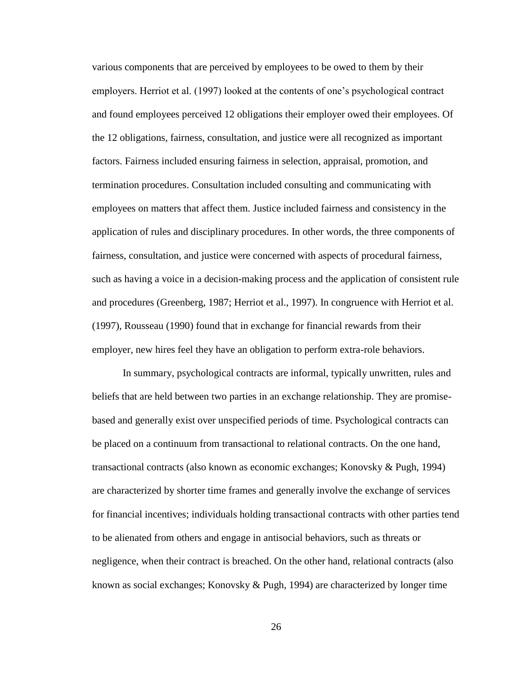various components that are perceived by employees to be owed to them by their employers. Herriot et al. (1997) looked at the contents of one's psychological contract and found employees perceived 12 obligations their employer owed their employees. Of the 12 obligations, fairness, consultation, and justice were all recognized as important factors. Fairness included ensuring fairness in selection, appraisal, promotion, and termination procedures. Consultation included consulting and communicating with employees on matters that affect them. Justice included fairness and consistency in the application of rules and disciplinary procedures. In other words, the three components of fairness, consultation, and justice were concerned with aspects of procedural fairness, such as having a voice in a decision-making process and the application of consistent rule and procedures (Greenberg, 1987; Herriot et al., 1997). In congruence with Herriot et al. (1997), Rousseau (1990) found that in exchange for financial rewards from their employer, new hires feel they have an obligation to perform extra-role behaviors.

In summary, psychological contracts are informal, typically unwritten, rules and beliefs that are held between two parties in an exchange relationship. They are promisebased and generally exist over unspecified periods of time. Psychological contracts can be placed on a continuum from transactional to relational contracts. On the one hand, transactional contracts (also known as economic exchanges; Konovsky & Pugh, 1994) are characterized by shorter time frames and generally involve the exchange of services for financial incentives; individuals holding transactional contracts with other parties tend to be alienated from others and engage in antisocial behaviors, such as threats or negligence, when their contract is breached. On the other hand, relational contracts (also known as social exchanges; Konovsky & Pugh, 1994) are characterized by longer time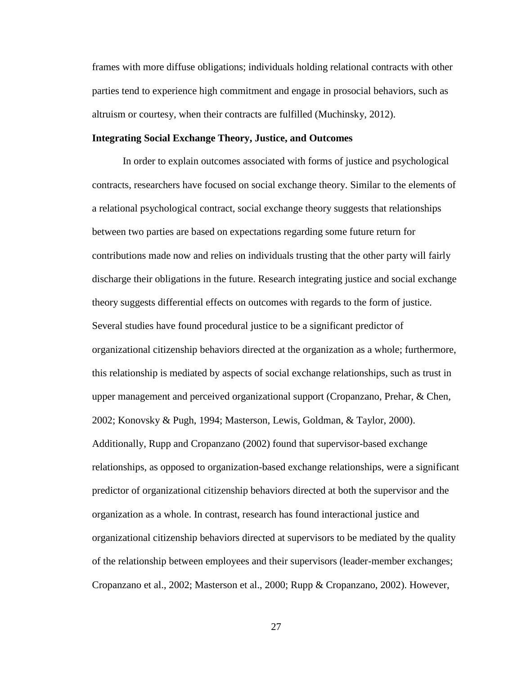frames with more diffuse obligations; individuals holding relational contracts with other parties tend to experience high commitment and engage in prosocial behaviors, such as altruism or courtesy, when their contracts are fulfilled (Muchinsky, 2012).

## **Integrating Social Exchange Theory, Justice, and Outcomes**

In order to explain outcomes associated with forms of justice and psychological contracts, researchers have focused on social exchange theory. Similar to the elements of a relational psychological contract, social exchange theory suggests that relationships between two parties are based on expectations regarding some future return for contributions made now and relies on individuals trusting that the other party will fairly discharge their obligations in the future. Research integrating justice and social exchange theory suggests differential effects on outcomes with regards to the form of justice. Several studies have found procedural justice to be a significant predictor of organizational citizenship behaviors directed at the organization as a whole; furthermore, this relationship is mediated by aspects of social exchange relationships, such as trust in upper management and perceived organizational support (Cropanzano, Prehar, & Chen, 2002; Konovsky & Pugh, 1994; Masterson, Lewis, Goldman, & Taylor, 2000). Additionally, Rupp and Cropanzano (2002) found that supervisor-based exchange relationships, as opposed to organization-based exchange relationships, were a significant predictor of organizational citizenship behaviors directed at both the supervisor and the organization as a whole. In contrast, research has found interactional justice and organizational citizenship behaviors directed at supervisors to be mediated by the quality of the relationship between employees and their supervisors (leader-member exchanges; Cropanzano et al., 2002; Masterson et al., 2000; Rupp & Cropanzano, 2002). However,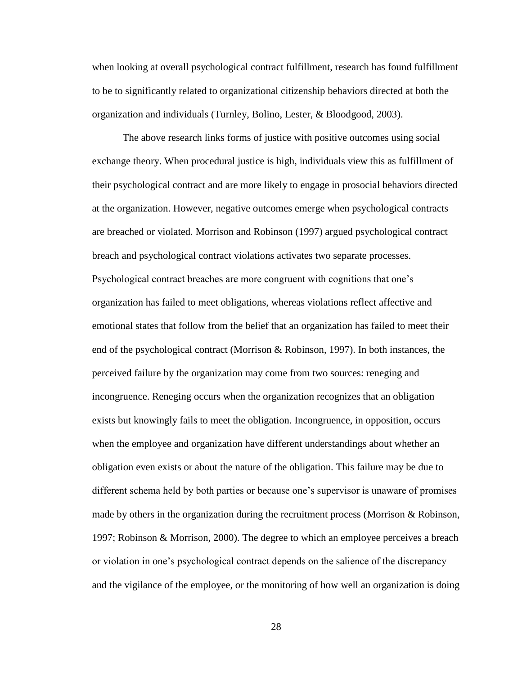when looking at overall psychological contract fulfillment, research has found fulfillment to be to significantly related to organizational citizenship behaviors directed at both the organization and individuals (Turnley, Bolino, Lester, & Bloodgood, 2003).

The above research links forms of justice with positive outcomes using social exchange theory. When procedural justice is high, individuals view this as fulfillment of their psychological contract and are more likely to engage in prosocial behaviors directed at the organization. However, negative outcomes emerge when psychological contracts are breached or violated. Morrison and Robinson (1997) argued psychological contract breach and psychological contract violations activates two separate processes. Psychological contract breaches are more congruent with cognitions that one's organization has failed to meet obligations, whereas violations reflect affective and emotional states that follow from the belief that an organization has failed to meet their end of the psychological contract (Morrison & Robinson, 1997). In both instances, the perceived failure by the organization may come from two sources: reneging and incongruence. Reneging occurs when the organization recognizes that an obligation exists but knowingly fails to meet the obligation. Incongruence, in opposition, occurs when the employee and organization have different understandings about whether an obligation even exists or about the nature of the obligation. This failure may be due to different schema held by both parties or because one's supervisor is unaware of promises made by others in the organization during the recruitment process (Morrison & Robinson, 1997; Robinson & Morrison, 2000). The degree to which an employee perceives a breach or violation in one's psychological contract depends on the salience of the discrepancy and the vigilance of the employee, or the monitoring of how well an organization is doing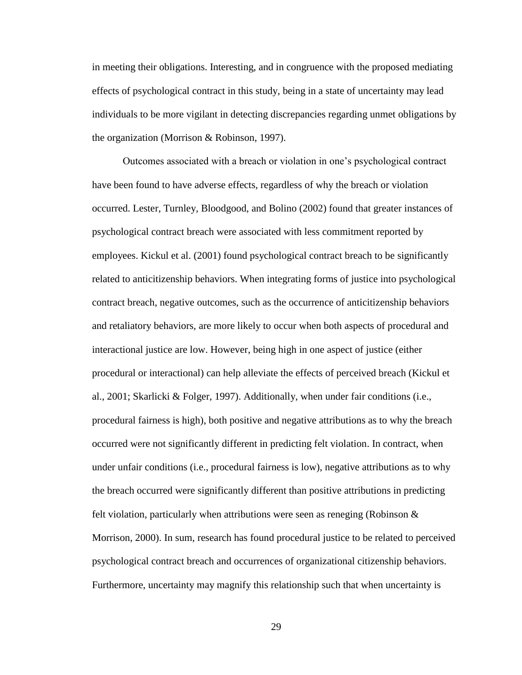in meeting their obligations. Interesting, and in congruence with the proposed mediating effects of psychological contract in this study, being in a state of uncertainty may lead individuals to be more vigilant in detecting discrepancies regarding unmet obligations by the organization (Morrison & Robinson, 1997).

Outcomes associated with a breach or violation in one's psychological contract have been found to have adverse effects, regardless of why the breach or violation occurred. Lester, Turnley, Bloodgood, and Bolino (2002) found that greater instances of psychological contract breach were associated with less commitment reported by employees. Kickul et al. (2001) found psychological contract breach to be significantly related to anticitizenship behaviors. When integrating forms of justice into psychological contract breach, negative outcomes, such as the occurrence of anticitizenship behaviors and retaliatory behaviors, are more likely to occur when both aspects of procedural and interactional justice are low. However, being high in one aspect of justice (either procedural or interactional) can help alleviate the effects of perceived breach (Kickul et al., 2001; Skarlicki & Folger, 1997). Additionally, when under fair conditions (i.e., procedural fairness is high), both positive and negative attributions as to why the breach occurred were not significantly different in predicting felt violation. In contract, when under unfair conditions (i.e., procedural fairness is low), negative attributions as to why the breach occurred were significantly different than positive attributions in predicting felt violation, particularly when attributions were seen as reneging (Robinson & Morrison, 2000). In sum, research has found procedural justice to be related to perceived psychological contract breach and occurrences of organizational citizenship behaviors. Furthermore, uncertainty may magnify this relationship such that when uncertainty is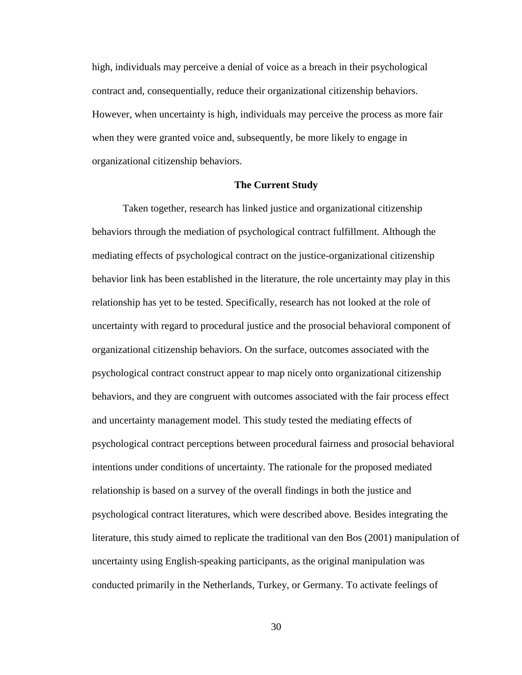high, individuals may perceive a denial of voice as a breach in their psychological contract and, consequentially, reduce their organizational citizenship behaviors. However, when uncertainty is high, individuals may perceive the process as more fair when they were granted voice and, subsequently, be more likely to engage in organizational citizenship behaviors.

## **The Current Study**

Taken together, research has linked justice and organizational citizenship behaviors through the mediation of psychological contract fulfillment. Although the mediating effects of psychological contract on the justice-organizational citizenship behavior link has been established in the literature, the role uncertainty may play in this relationship has yet to be tested. Specifically, research has not looked at the role of uncertainty with regard to procedural justice and the prosocial behavioral component of organizational citizenship behaviors. On the surface, outcomes associated with the psychological contract construct appear to map nicely onto organizational citizenship behaviors, and they are congruent with outcomes associated with the fair process effect and uncertainty management model. This study tested the mediating effects of psychological contract perceptions between procedural fairness and prosocial behavioral intentions under conditions of uncertainty. The rationale for the proposed mediated relationship is based on a survey of the overall findings in both the justice and psychological contract literatures, which were described above. Besides integrating the literature, this study aimed to replicate the traditional van den Bos (2001) manipulation of uncertainty using English-speaking participants, as the original manipulation was conducted primarily in the Netherlands, Turkey, or Germany. To activate feelings of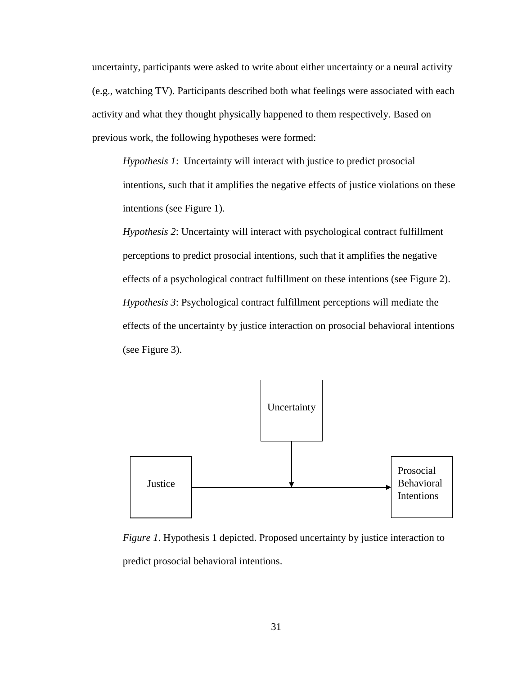uncertainty, participants were asked to write about either uncertainty or a neural activity (e.g., watching TV). Participants described both what feelings were associated with each activity and what they thought physically happened to them respectively. Based on previous work, the following hypotheses were formed:

*Hypothesis 1*: Uncertainty will interact with justice to predict prosocial intentions, such that it amplifies the negative effects of justice violations on these intentions (see Figure 1).

*Hypothesis 2*: Uncertainty will interact with psychological contract fulfillment perceptions to predict prosocial intentions, such that it amplifies the negative effects of a psychological contract fulfillment on these intentions (see Figure 2). *Hypothesis 3*: Psychological contract fulfillment perceptions will mediate the effects of the uncertainty by justice interaction on prosocial behavioral intentions (see Figure 3).



*Figure 1*. Hypothesis 1 depicted. Proposed uncertainty by justice interaction to predict prosocial behavioral intentions.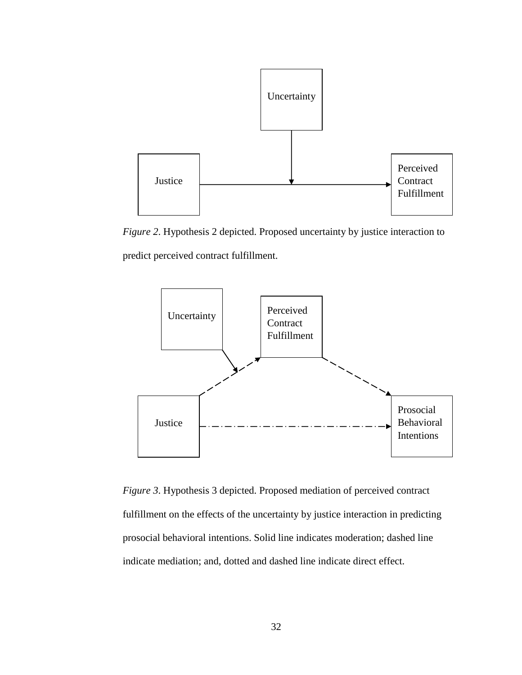

*Figure 2*. Hypothesis 2 depicted. Proposed uncertainty by justice interaction to predict perceived contract fulfillment.



*Figure 3*. Hypothesis 3 depicted. Proposed mediation of perceived contract fulfillment on the effects of the uncertainty by justice interaction in predicting prosocial behavioral intentions. Solid line indicates moderation; dashed line indicate mediation; and, dotted and dashed line indicate direct effect.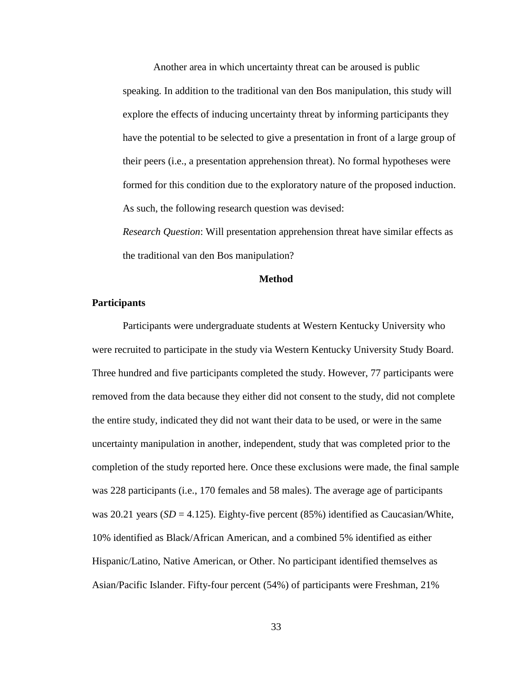Another area in which uncertainty threat can be aroused is public speaking. In addition to the traditional van den Bos manipulation, this study will explore the effects of inducing uncertainty threat by informing participants they have the potential to be selected to give a presentation in front of a large group of their peers (i.e., a presentation apprehension threat). No formal hypotheses were formed for this condition due to the exploratory nature of the proposed induction. As such, the following research question was devised:

*Research Question*: Will presentation apprehension threat have similar effects as the traditional van den Bos manipulation?

## **Method**

## **Participants**

Participants were undergraduate students at Western Kentucky University who were recruited to participate in the study via Western Kentucky University Study Board. Three hundred and five participants completed the study. However, 77 participants were removed from the data because they either did not consent to the study, did not complete the entire study, indicated they did not want their data to be used, or were in the same uncertainty manipulation in another, independent, study that was completed prior to the completion of the study reported here. Once these exclusions were made, the final sample was 228 participants (i.e., 170 females and 58 males). The average age of participants was 20.21 years  $(SD = 4.125)$ . Eighty-five percent  $(85%)$  identified as Caucasian/White, 10% identified as Black/African American, and a combined 5% identified as either Hispanic/Latino, Native American, or Other. No participant identified themselves as Asian/Pacific Islander. Fifty-four percent (54%) of participants were Freshman, 21%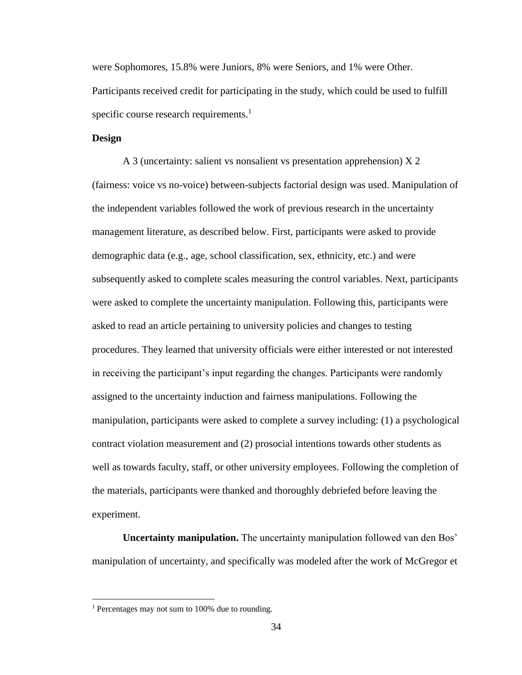were Sophomores, 15.8% were Juniors, 8% were Seniors, and 1% were Other. Participants received credit for participating in the study, which could be used to fulfill specific course research requirements.<sup>1</sup>

# **Design**

A 3 (uncertainty: salient vs nonsalient vs presentation apprehension) X 2 (fairness: voice vs no-voice) between-subjects factorial design was used. Manipulation of the independent variables followed the work of previous research in the uncertainty management literature, as described below. First, participants were asked to provide demographic data (e.g., age, school classification, sex, ethnicity, etc.) and were subsequently asked to complete scales measuring the control variables. Next, participants were asked to complete the uncertainty manipulation. Following this, participants were asked to read an article pertaining to university policies and changes to testing procedures. They learned that university officials were either interested or not interested in receiving the participant's input regarding the changes. Participants were randomly assigned to the uncertainty induction and fairness manipulations. Following the manipulation, participants were asked to complete a survey including: (1) a psychological contract violation measurement and (2) prosocial intentions towards other students as well as towards faculty, staff, or other university employees. Following the completion of the materials, participants were thanked and thoroughly debriefed before leaving the experiment.

**Uncertainty manipulation.** The uncertainty manipulation followed van den Bos' manipulation of uncertainty, and specifically was modeled after the work of McGregor et

 $\overline{\phantom{a}}$ 

<sup>1</sup> Percentages may not sum to 100% due to rounding.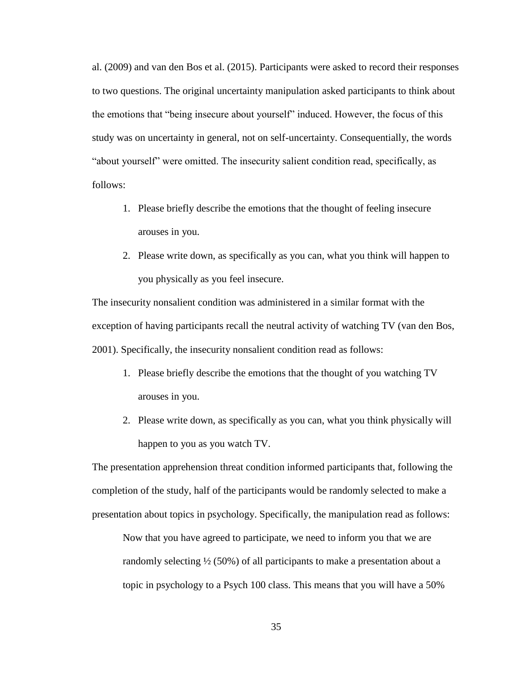al. (2009) and van den Bos et al. (2015). Participants were asked to record their responses to two questions. The original uncertainty manipulation asked participants to think about the emotions that "being insecure about yourself" induced. However, the focus of this study was on uncertainty in general, not on self-uncertainty. Consequentially, the words "about yourself" were omitted. The insecurity salient condition read, specifically, as follows:

- 1. Please briefly describe the emotions that the thought of feeling insecure arouses in you.
- 2. Please write down, as specifically as you can, what you think will happen to you physically as you feel insecure.

The insecurity nonsalient condition was administered in a similar format with the exception of having participants recall the neutral activity of watching TV (van den Bos, 2001). Specifically, the insecurity nonsalient condition read as follows:

- 1. Please briefly describe the emotions that the thought of you watching TV arouses in you.
- 2. Please write down, as specifically as you can, what you think physically will happen to you as you watch TV.

The presentation apprehension threat condition informed participants that, following the completion of the study, half of the participants would be randomly selected to make a presentation about topics in psychology. Specifically, the manipulation read as follows:

Now that you have agreed to participate, we need to inform you that we are randomly selecting  $\frac{1}{2}$  (50%) of all participants to make a presentation about a topic in psychology to a Psych 100 class. This means that you will have a 50%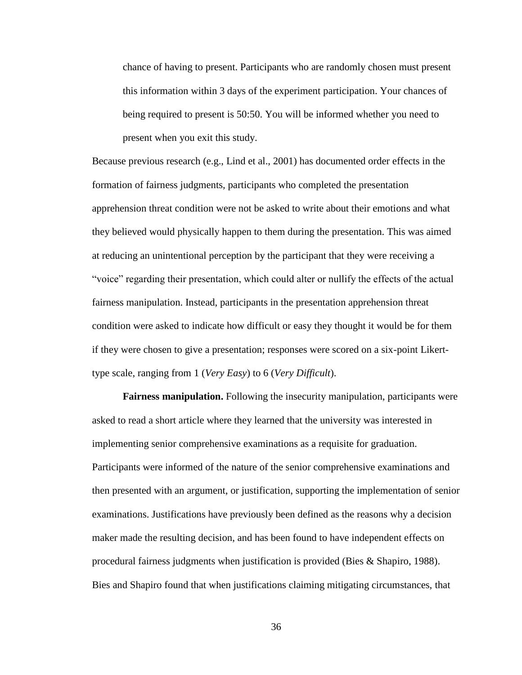chance of having to present. Participants who are randomly chosen must present this information within 3 days of the experiment participation. Your chances of being required to present is 50:50. You will be informed whether you need to present when you exit this study.

Because previous research (e.g., Lind et al., 2001) has documented order effects in the formation of fairness judgments, participants who completed the presentation apprehension threat condition were not be asked to write about their emotions and what they believed would physically happen to them during the presentation. This was aimed at reducing an unintentional perception by the participant that they were receiving a "voice" regarding their presentation, which could alter or nullify the effects of the actual fairness manipulation. Instead, participants in the presentation apprehension threat condition were asked to indicate how difficult or easy they thought it would be for them if they were chosen to give a presentation; responses were scored on a six-point Likerttype scale, ranging from 1 (*Very Easy*) to 6 (*Very Difficult*).

**Fairness manipulation.** Following the insecurity manipulation, participants were asked to read a short article where they learned that the university was interested in implementing senior comprehensive examinations as a requisite for graduation. Participants were informed of the nature of the senior comprehensive examinations and then presented with an argument, or justification, supporting the implementation of senior examinations. Justifications have previously been defined as the reasons why a decision maker made the resulting decision, and has been found to have independent effects on procedural fairness judgments when justification is provided (Bies & Shapiro, 1988). Bies and Shapiro found that when justifications claiming mitigating circumstances, that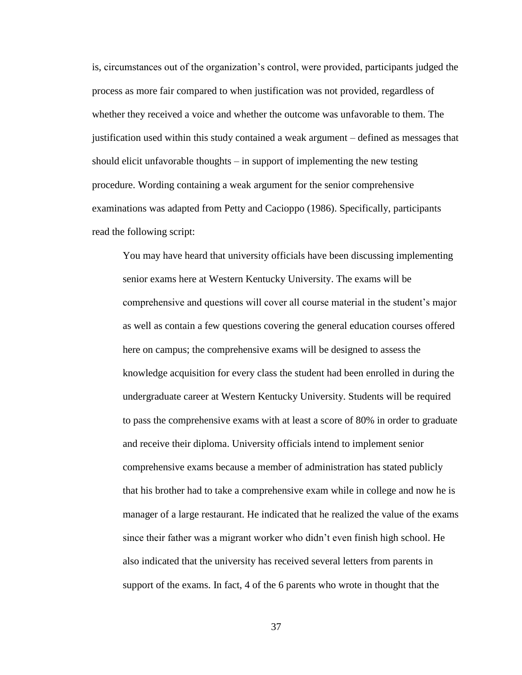is, circumstances out of the organization's control, were provided, participants judged the process as more fair compared to when justification was not provided, regardless of whether they received a voice and whether the outcome was unfavorable to them. The justification used within this study contained a weak argument – defined as messages that should elicit unfavorable thoughts – in support of implementing the new testing procedure. Wording containing a weak argument for the senior comprehensive examinations was adapted from Petty and Cacioppo (1986). Specifically, participants read the following script:

You may have heard that university officials have been discussing implementing senior exams here at Western Kentucky University. The exams will be comprehensive and questions will cover all course material in the student's major as well as contain a few questions covering the general education courses offered here on campus; the comprehensive exams will be designed to assess the knowledge acquisition for every class the student had been enrolled in during the undergraduate career at Western Kentucky University. Students will be required to pass the comprehensive exams with at least a score of 80% in order to graduate and receive their diploma. University officials intend to implement senior comprehensive exams because a member of administration has stated publicly that his brother had to take a comprehensive exam while in college and now he is manager of a large restaurant. He indicated that he realized the value of the exams since their father was a migrant worker who didn't even finish high school. He also indicated that the university has received several letters from parents in support of the exams. In fact, 4 of the 6 parents who wrote in thought that the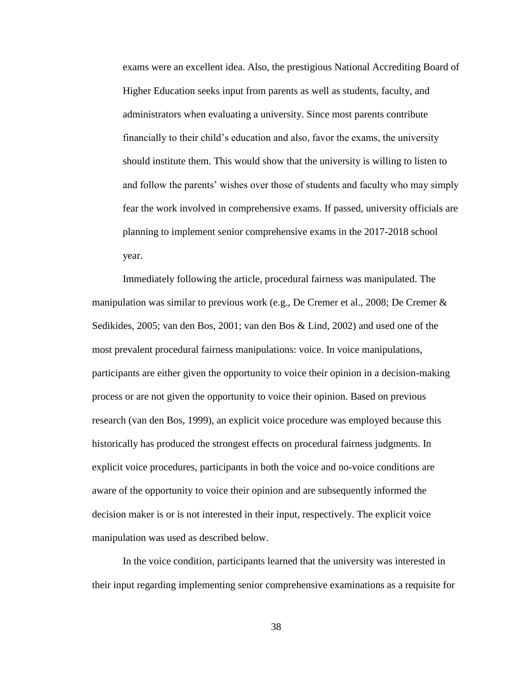exams were an excellent idea. Also, the prestigious National Accrediting Board of Higher Education seeks input from parents as well as students, faculty, and administrators when evaluating a university. Since most parents contribute financially to their child's education and also, favor the exams, the university should institute them. This would show that the university is willing to listen to and follow the parents' wishes over those of students and faculty who may simply fear the work involved in comprehensive exams. If passed, university officials are planning to implement senior comprehensive exams in the 2017-2018 school year.

Immediately following the article, procedural fairness was manipulated. The manipulation was similar to previous work (e.g., De Cremer et al., 2008; De Cremer & Sedikides, 2005; van den Bos, 2001; van den Bos & Lind, 2002) and used one of the most prevalent procedural fairness manipulations: voice. In voice manipulations, participants are either given the opportunity to voice their opinion in a decision-making process or are not given the opportunity to voice their opinion. Based on previous research (van den Bos, 1999), an explicit voice procedure was employed because this historically has produced the strongest effects on procedural fairness judgments. In explicit voice procedures, participants in both the voice and no-voice conditions are aware of the opportunity to voice their opinion and are subsequently informed the decision maker is or is not interested in their input, respectively. The explicit voice manipulation was used as described below.

In the voice condition, participants learned that the university was interested in their input regarding implementing senior comprehensive examinations as a requisite for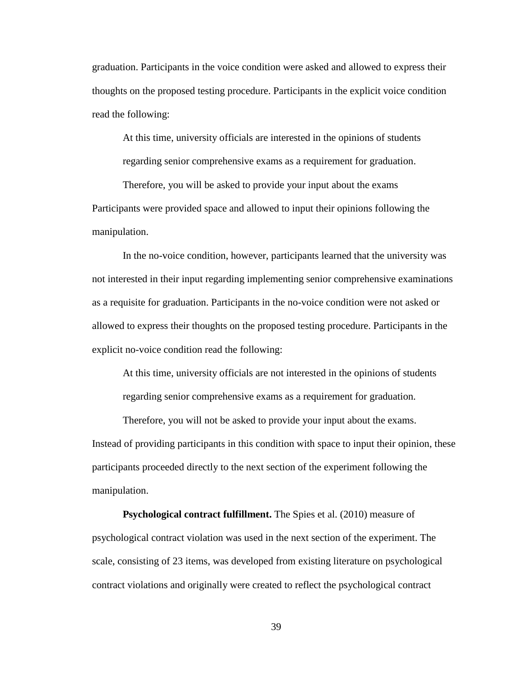graduation. Participants in the voice condition were asked and allowed to express their thoughts on the proposed testing procedure. Participants in the explicit voice condition read the following:

At this time, university officials are interested in the opinions of students regarding senior comprehensive exams as a requirement for graduation.

Therefore, you will be asked to provide your input about the exams Participants were provided space and allowed to input their opinions following the manipulation.

In the no-voice condition, however, participants learned that the university was not interested in their input regarding implementing senior comprehensive examinations as a requisite for graduation. Participants in the no-voice condition were not asked or allowed to express their thoughts on the proposed testing procedure. Participants in the explicit no-voice condition read the following:

At this time, university officials are not interested in the opinions of students regarding senior comprehensive exams as a requirement for graduation.

Therefore, you will not be asked to provide your input about the exams. Instead of providing participants in this condition with space to input their opinion, these participants proceeded directly to the next section of the experiment following the manipulation.

**Psychological contract fulfillment.** The Spies et al. (2010) measure of psychological contract violation was used in the next section of the experiment. The scale, consisting of 23 items, was developed from existing literature on psychological contract violations and originally were created to reflect the psychological contract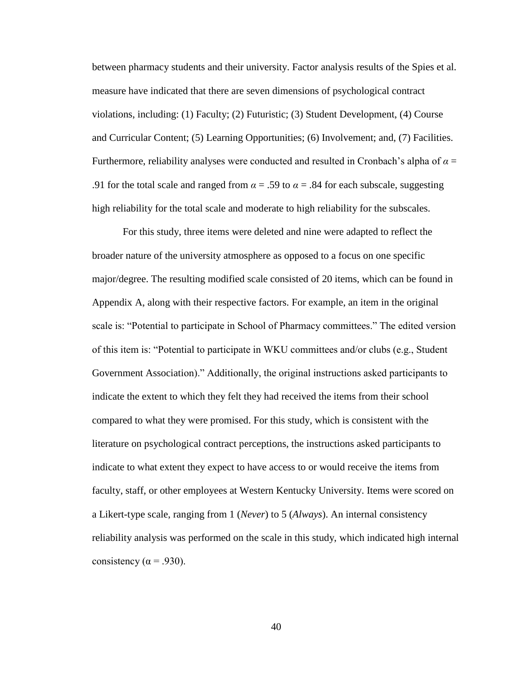between pharmacy students and their university. Factor analysis results of the Spies et al. measure have indicated that there are seven dimensions of psychological contract violations, including: (1) Faculty; (2) Futuristic; (3) Student Development, (4) Course and Curricular Content; (5) Learning Opportunities; (6) Involvement; and, (7) Facilities. Furthermore, reliability analyses were conducted and resulted in Cronbach's alpha of  $\alpha$  = .91 for the total scale and ranged from  $\alpha = .59$  to  $\alpha = .84$  for each subscale, suggesting high reliability for the total scale and moderate to high reliability for the subscales.

For this study, three items were deleted and nine were adapted to reflect the broader nature of the university atmosphere as opposed to a focus on one specific major/degree. The resulting modified scale consisted of 20 items, which can be found in Appendix A, along with their respective factors. For example, an item in the original scale is: "Potential to participate in School of Pharmacy committees." The edited version of this item is: "Potential to participate in WKU committees and/or clubs (e.g., Student Government Association)." Additionally, the original instructions asked participants to indicate the extent to which they felt they had received the items from their school compared to what they were promised. For this study, which is consistent with the literature on psychological contract perceptions, the instructions asked participants to indicate to what extent they expect to have access to or would receive the items from faculty, staff, or other employees at Western Kentucky University. Items were scored on a Likert-type scale, ranging from 1 (*Never*) to 5 (*Always*). An internal consistency reliability analysis was performed on the scale in this study, which indicated high internal consistency ( $\alpha$  = .930).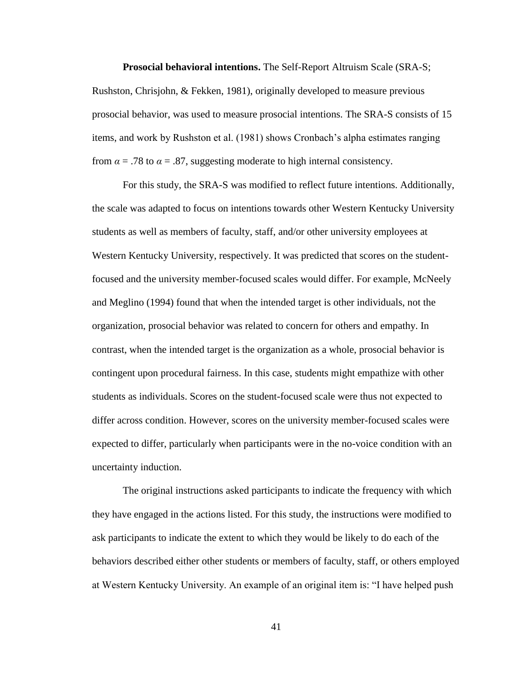**Prosocial behavioral intentions.** The Self-Report Altruism Scale (SRA-S; Rushston, Chrisjohn, & Fekken, 1981), originally developed to measure previous prosocial behavior, was used to measure prosocial intentions. The SRA-S consists of 15 items, and work by Rushston et al. (1981) shows Cronbach's alpha estimates ranging from  $\alpha = .78$  to  $\alpha = .87$ , suggesting moderate to high internal consistency.

For this study, the SRA-S was modified to reflect future intentions. Additionally, the scale was adapted to focus on intentions towards other Western Kentucky University students as well as members of faculty, staff, and/or other university employees at Western Kentucky University, respectively. It was predicted that scores on the studentfocused and the university member-focused scales would differ. For example, McNeely and Meglino (1994) found that when the intended target is other individuals, not the organization, prosocial behavior was related to concern for others and empathy. In contrast, when the intended target is the organization as a whole, prosocial behavior is contingent upon procedural fairness. In this case, students might empathize with other students as individuals. Scores on the student-focused scale were thus not expected to differ across condition. However, scores on the university member-focused scales were expected to differ, particularly when participants were in the no-voice condition with an uncertainty induction.

The original instructions asked participants to indicate the frequency with which they have engaged in the actions listed. For this study, the instructions were modified to ask participants to indicate the extent to which they would be likely to do each of the behaviors described either other students or members of faculty, staff, or others employed at Western Kentucky University. An example of an original item is: "I have helped push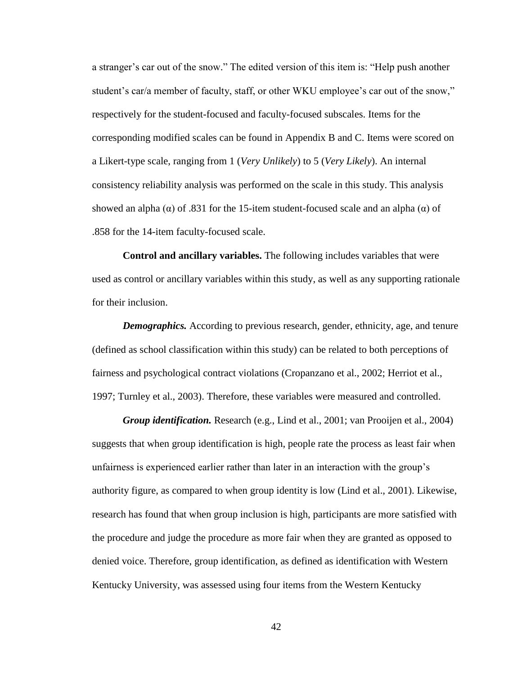a stranger's car out of the snow." The edited version of this item is: "Help push another student's car/a member of faculty, staff, or other WKU employee's car out of the snow," respectively for the student-focused and faculty-focused subscales. Items for the corresponding modified scales can be found in Appendix B and C. Items were scored on a Likert-type scale, ranging from 1 (*Very Unlikely*) to 5 (*Very Likely*). An internal consistency reliability analysis was performed on the scale in this study. This analysis showed an alpha ( $\alpha$ ) of .831 for the 15-item student-focused scale and an alpha ( $\alpha$ ) of .858 for the 14-item faculty-focused scale.

**Control and ancillary variables.** The following includes variables that were used as control or ancillary variables within this study, as well as any supporting rationale for their inclusion.

*Demographics.* According to previous research, gender, ethnicity, age, and tenure (defined as school classification within this study) can be related to both perceptions of fairness and psychological contract violations (Cropanzano et al., 2002; Herriot et al., 1997; Turnley et al., 2003). Therefore, these variables were measured and controlled.

*Group identification.* Research (e.g., Lind et al., 2001; van Prooijen et al., 2004) suggests that when group identification is high, people rate the process as least fair when unfairness is experienced earlier rather than later in an interaction with the group's authority figure, as compared to when group identity is low (Lind et al., 2001). Likewise, research has found that when group inclusion is high, participants are more satisfied with the procedure and judge the procedure as more fair when they are granted as opposed to denied voice. Therefore, group identification, as defined as identification with Western Kentucky University, was assessed using four items from the Western Kentucky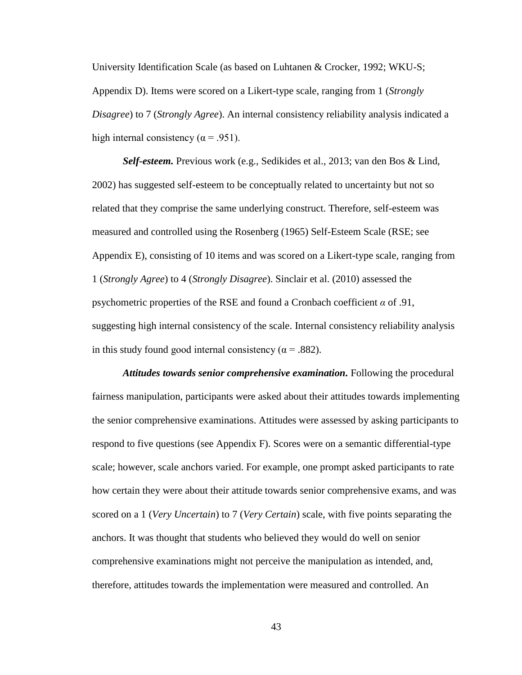University Identification Scale (as based on Luhtanen & Crocker, 1992; WKU-S; Appendix D). Items were scored on a Likert-type scale, ranging from 1 (*Strongly Disagree*) to 7 (*Strongly Agree*). An internal consistency reliability analysis indicated a high internal consistency ( $\alpha$  = .951).

*Self-esteem.* Previous work (e.g., Sedikides et al., 2013; van den Bos & Lind, 2002) has suggested self-esteem to be conceptually related to uncertainty but not so related that they comprise the same underlying construct. Therefore, self-esteem was measured and controlled using the Rosenberg (1965) Self-Esteem Scale (RSE; see Appendix E), consisting of 10 items and was scored on a Likert-type scale, ranging from 1 (*Strongly Agree*) to 4 (*Strongly Disagree*). Sinclair et al. (2010) assessed the psychometric properties of the RSE and found a Cronbach coefficient *α* of .91, suggesting high internal consistency of the scale. Internal consistency reliability analysis in this study found good internal consistency ( $\alpha$  = .882).

*Attitudes towards senior comprehensive examination.* Following the procedural fairness manipulation, participants were asked about their attitudes towards implementing the senior comprehensive examinations. Attitudes were assessed by asking participants to respond to five questions (see Appendix F). Scores were on a semantic differential-type scale; however, scale anchors varied. For example, one prompt asked participants to rate how certain they were about their attitude towards senior comprehensive exams, and was scored on a 1 (*Very Uncertain*) to 7 (*Very Certain*) scale, with five points separating the anchors. It was thought that students who believed they would do well on senior comprehensive examinations might not perceive the manipulation as intended, and, therefore, attitudes towards the implementation were measured and controlled. An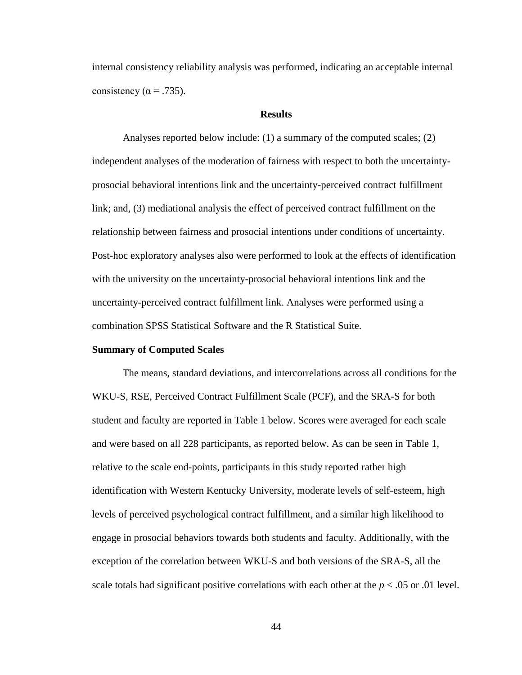internal consistency reliability analysis was performed, indicating an acceptable internal consistency ( $\alpha$  = .735).

## **Results**

Analyses reported below include: (1) a summary of the computed scales; (2) independent analyses of the moderation of fairness with respect to both the uncertaintyprosocial behavioral intentions link and the uncertainty-perceived contract fulfillment link; and, (3) mediational analysis the effect of perceived contract fulfillment on the relationship between fairness and prosocial intentions under conditions of uncertainty. Post-hoc exploratory analyses also were performed to look at the effects of identification with the university on the uncertainty-prosocial behavioral intentions link and the uncertainty-perceived contract fulfillment link. Analyses were performed using a combination SPSS Statistical Software and the R Statistical Suite.

#### **Summary of Computed Scales**

The means, standard deviations, and intercorrelations across all conditions for the WKU-S, RSE, Perceived Contract Fulfillment Scale (PCF), and the SRA-S for both student and faculty are reported in Table 1 below. Scores were averaged for each scale and were based on all 228 participants, as reported below. As can be seen in Table 1, relative to the scale end-points, participants in this study reported rather high identification with Western Kentucky University, moderate levels of self-esteem, high levels of perceived psychological contract fulfillment, and a similar high likelihood to engage in prosocial behaviors towards both students and faculty. Additionally, with the exception of the correlation between WKU-S and both versions of the SRA-S, all the scale totals had significant positive correlations with each other at the  $p < .05$  or  $.01$  level.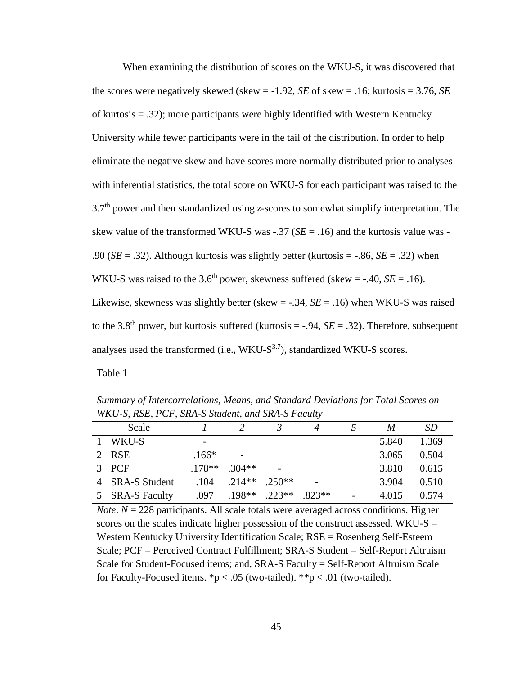When examining the distribution of scores on the WKU-S, it was discovered that the scores were negatively skewed (skew  $= -1.92$ , *SE* of skew  $= .16$ ; kurtosis  $= 3.76$ , *SE* of kurtosis = .32); more participants were highly identified with Western Kentucky University while fewer participants were in the tail of the distribution. In order to help eliminate the negative skew and have scores more normally distributed prior to analyses with inferential statistics, the total score on WKU-S for each participant was raised to the 3.7 th power and then standardized using *z*-scores to somewhat simplify interpretation. The skew value of the transformed WKU-S was  $-.37$  ( $SE = .16$ ) and the kurtosis value was -.90 (*SE* = .32). Although kurtosis was slightly better (kurtosis = -.86, *SE* = .32) when WKU-S was raised to the 3.6<sup>th</sup> power, skewness suffered (skew = -.40,  $SE = .16$ ). Likewise, skewness was slightly better (skew = -.34, *SE* = .16) when WKU-S was raised to the 3.8<sup>th</sup> power, but kurtosis suffered (kurtosis  $=$  -.94, *SE* = .32). Therefore, subsequent analyses used the transformed (i.e.,  $WKU-S^{3.7}$ ), standardized WKU-S scores. Table 1

*Summary of Intercorrelations, Means, and Standard Deviations for Total Scores on WKU-S, RSE, PCF, SRA-S Student, and SRA-S Faculty*

| Scale           |          |                 |          | M     | SD.   |
|-----------------|----------|-----------------|----------|-------|-------|
| 1 WKU-S         |          |                 |          | 5.840 | 1.369 |
| 2 RSE           | $.166*$  |                 |          | 3.065 | 0.504 |
| 3 PCF           | $.178**$ | $304**$         |          | 3.810 | 0.615 |
| 4 SRA-S Student | .104     | $.214**$ .250** | -        | 3.904 | 0.510 |
| 5 SRA-S Faculty | .097     | $.198**$ .223** | $.823**$ | 4.015 | 0.574 |

*Note*. *N* = 228 participants. All scale totals were averaged across conditions. Higher scores on the scales indicate higher possession of the construct assessed. WKU-S  $=$ Western Kentucky University Identification Scale; RSE = Rosenberg Self-Esteem Scale; PCF = Perceived Contract Fulfillment; SRA-S Student = Self-Report Altruism Scale for Student-Focused items; and, SRA-S Faculty = Self-Report Altruism Scale for Faculty-Focused items.  $p < .05$  (two-tailed).  $p \times p < .01$  (two-tailed).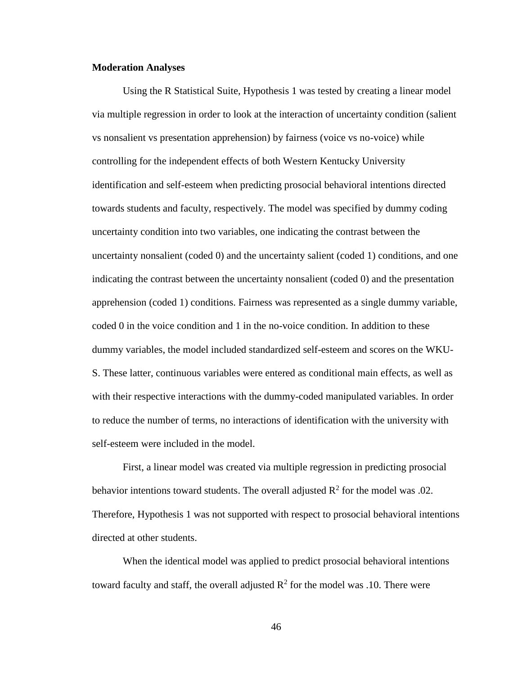### **Moderation Analyses**

Using the R Statistical Suite, Hypothesis 1 was tested by creating a linear model via multiple regression in order to look at the interaction of uncertainty condition (salient vs nonsalient vs presentation apprehension) by fairness (voice vs no-voice) while controlling for the independent effects of both Western Kentucky University identification and self-esteem when predicting prosocial behavioral intentions directed towards students and faculty, respectively. The model was specified by dummy coding uncertainty condition into two variables, one indicating the contrast between the uncertainty nonsalient (coded 0) and the uncertainty salient (coded 1) conditions, and one indicating the contrast between the uncertainty nonsalient (coded 0) and the presentation apprehension (coded 1) conditions. Fairness was represented as a single dummy variable, coded 0 in the voice condition and 1 in the no-voice condition. In addition to these dummy variables, the model included standardized self-esteem and scores on the WKU-S. These latter, continuous variables were entered as conditional main effects, as well as with their respective interactions with the dummy-coded manipulated variables. In order to reduce the number of terms, no interactions of identification with the university with self-esteem were included in the model.

First, a linear model was created via multiple regression in predicting prosocial behavior intentions toward students. The overall adjusted  $\mathbb{R}^2$  for the model was .02. Therefore, Hypothesis 1 was not supported with respect to prosocial behavioral intentions directed at other students.

When the identical model was applied to predict prosocial behavioral intentions toward faculty and staff, the overall adjusted  $\mathbb{R}^2$  for the model was .10. There were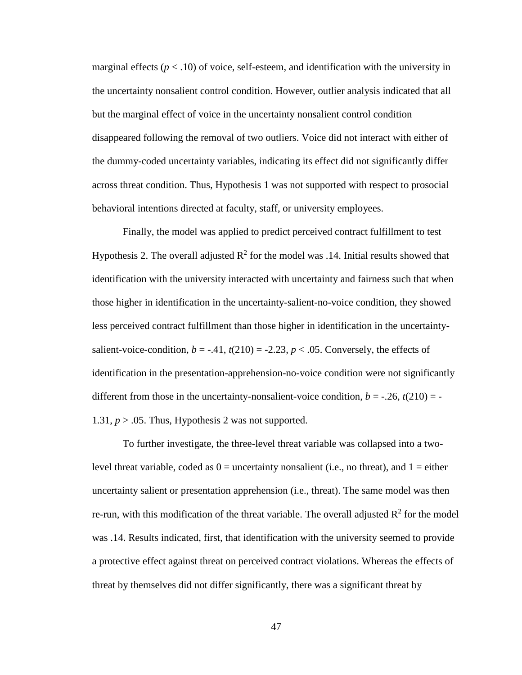marginal effects ( $p < 0.10$ ) of voice, self-esteem, and identification with the university in the uncertainty nonsalient control condition. However, outlier analysis indicated that all but the marginal effect of voice in the uncertainty nonsalient control condition disappeared following the removal of two outliers. Voice did not interact with either of the dummy-coded uncertainty variables, indicating its effect did not significantly differ across threat condition. Thus, Hypothesis 1 was not supported with respect to prosocial behavioral intentions directed at faculty, staff, or university employees.

Finally, the model was applied to predict perceived contract fulfillment to test Hypothesis 2. The overall adjusted  $R^2$  for the model was .14. Initial results showed that identification with the university interacted with uncertainty and fairness such that when those higher in identification in the uncertainty-salient-no-voice condition, they showed less perceived contract fulfillment than those higher in identification in the uncertaintysalient-voice-condition,  $b = -0.41$ ,  $t(210) = -2.23$ ,  $p < 0.05$ . Conversely, the effects of identification in the presentation-apprehension-no-voice condition were not significantly different from those in the uncertainty-nonsalient-voice condition,  $b = -0.26$ ,  $t(210) = -0.26$ 1.31,  $p > 0.05$ . Thus, Hypothesis 2 was not supported.

To further investigate, the three-level threat variable was collapsed into a twolevel threat variable, coded as  $0 =$  uncertainty nonsalient (i.e., no threat), and  $1 =$  either uncertainty salient or presentation apprehension (i.e., threat). The same model was then re-run, with this modification of the threat variable. The overall adjusted  $R^2$  for the model was .14. Results indicated, first, that identification with the university seemed to provide a protective effect against threat on perceived contract violations. Whereas the effects of threat by themselves did not differ significantly, there was a significant threat by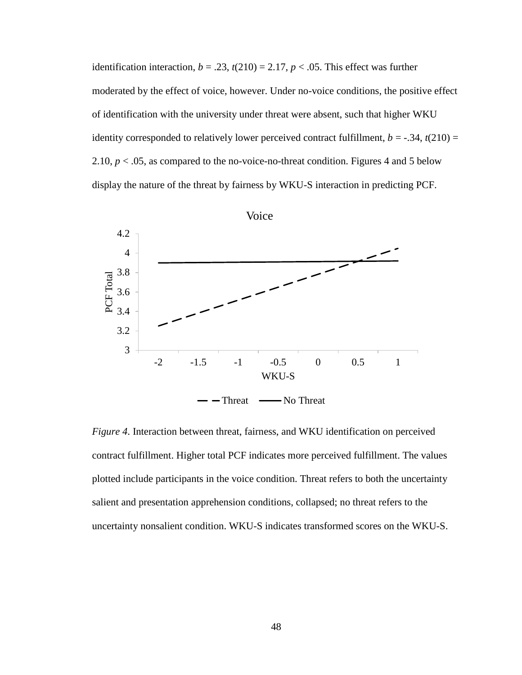identification interaction,  $b = .23$ ,  $t(210) = 2.17$ ,  $p < .05$ . This effect was further moderated by the effect of voice, however. Under no-voice conditions, the positive effect of identification with the university under threat were absent, such that higher WKU identity corresponded to relatively lower perceived contract fulfillment,  $b = -.34$ ,  $t(210) =$ 2.10,  $p < .05$ , as compared to the no-voice-no-threat condition. Figures 4 and 5 below display the nature of the threat by fairness by WKU-S interaction in predicting PCF.



*Figure 4*. Interaction between threat, fairness, and WKU identification on perceived contract fulfillment. Higher total PCF indicates more perceived fulfillment. The values plotted include participants in the voice condition. Threat refers to both the uncertainty salient and presentation apprehension conditions, collapsed; no threat refers to the uncertainty nonsalient condition. WKU-S indicates transformed scores on the WKU-S.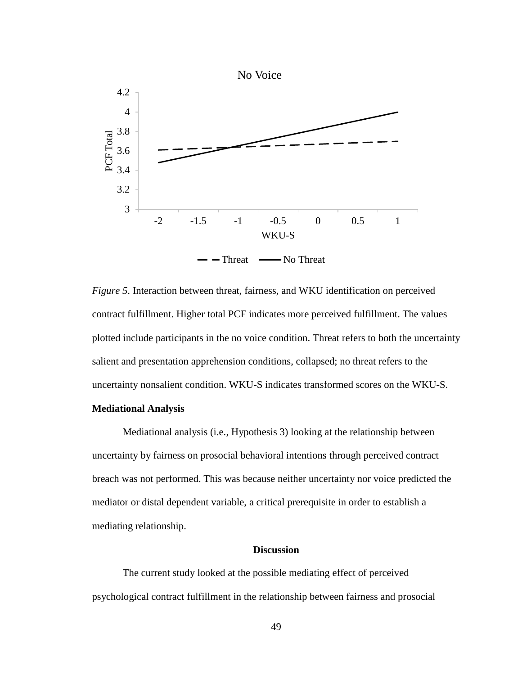

*Figure 5*. Interaction between threat, fairness, and WKU identification on perceived contract fulfillment. Higher total PCF indicates more perceived fulfillment. The values plotted include participants in the no voice condition. Threat refers to both the uncertainty salient and presentation apprehension conditions, collapsed; no threat refers to the uncertainty nonsalient condition. WKU-S indicates transformed scores on the WKU-S.

# **Mediational Analysis**

Mediational analysis (i.e., Hypothesis 3) looking at the relationship between uncertainty by fairness on prosocial behavioral intentions through perceived contract breach was not performed. This was because neither uncertainty nor voice predicted the mediator or distal dependent variable, a critical prerequisite in order to establish a mediating relationship.

## **Discussion**

The current study looked at the possible mediating effect of perceived psychological contract fulfillment in the relationship between fairness and prosocial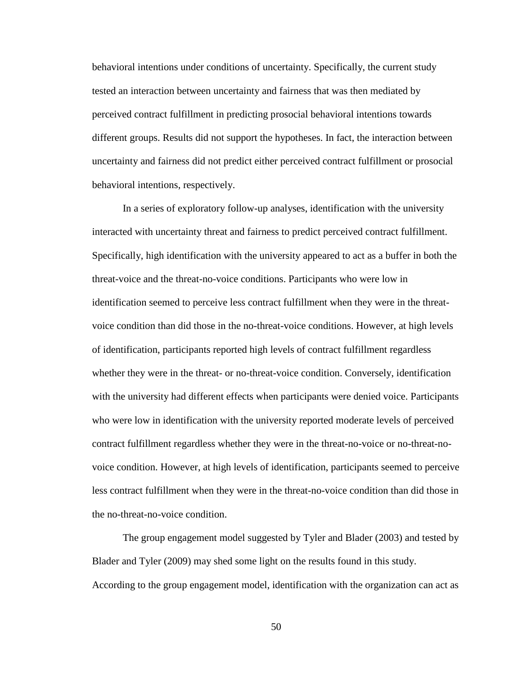behavioral intentions under conditions of uncertainty. Specifically, the current study tested an interaction between uncertainty and fairness that was then mediated by perceived contract fulfillment in predicting prosocial behavioral intentions towards different groups. Results did not support the hypotheses. In fact, the interaction between uncertainty and fairness did not predict either perceived contract fulfillment or prosocial behavioral intentions, respectively.

In a series of exploratory follow-up analyses, identification with the university interacted with uncertainty threat and fairness to predict perceived contract fulfillment. Specifically, high identification with the university appeared to act as a buffer in both the threat-voice and the threat-no-voice conditions. Participants who were low in identification seemed to perceive less contract fulfillment when they were in the threatvoice condition than did those in the no-threat-voice conditions. However, at high levels of identification, participants reported high levels of contract fulfillment regardless whether they were in the threat- or no-threat-voice condition. Conversely, identification with the university had different effects when participants were denied voice. Participants who were low in identification with the university reported moderate levels of perceived contract fulfillment regardless whether they were in the threat-no-voice or no-threat-novoice condition. However, at high levels of identification, participants seemed to perceive less contract fulfillment when they were in the threat-no-voice condition than did those in the no-threat-no-voice condition.

The group engagement model suggested by Tyler and Blader (2003) and tested by Blader and Tyler (2009) may shed some light on the results found in this study. According to the group engagement model, identification with the organization can act as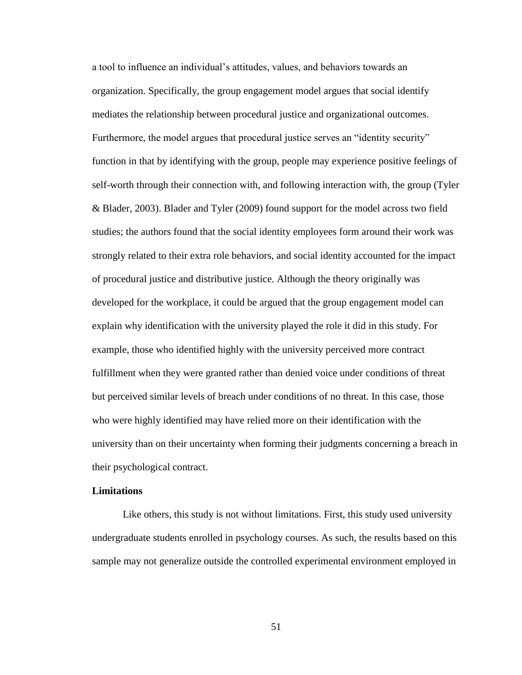a tool to influence an individual's attitudes, values, and behaviors towards an organization. Specifically, the group engagement model argues that social identify mediates the relationship between procedural justice and organizational outcomes. Furthermore, the model argues that procedural justice serves an "identity security" function in that by identifying with the group, people may experience positive feelings of self-worth through their connection with, and following interaction with, the group (Tyler & Blader, 2003). Blader and Tyler (2009) found support for the model across two field studies; the authors found that the social identity employees form around their work was strongly related to their extra role behaviors, and social identity accounted for the impact of procedural justice and distributive justice. Although the theory originally was developed for the workplace, it could be argued that the group engagement model can explain why identification with the university played the role it did in this study. For example, those who identified highly with the university perceived more contract fulfillment when they were granted rather than denied voice under conditions of threat but perceived similar levels of breach under conditions of no threat. In this case, those who were highly identified may have relied more on their identification with the university than on their uncertainty when forming their judgments concerning a breach in their psychological contract.

## **Limitations**

Like others, this study is not without limitations. First, this study used university undergraduate students enrolled in psychology courses. As such, the results based on this sample may not generalize outside the controlled experimental environment employed in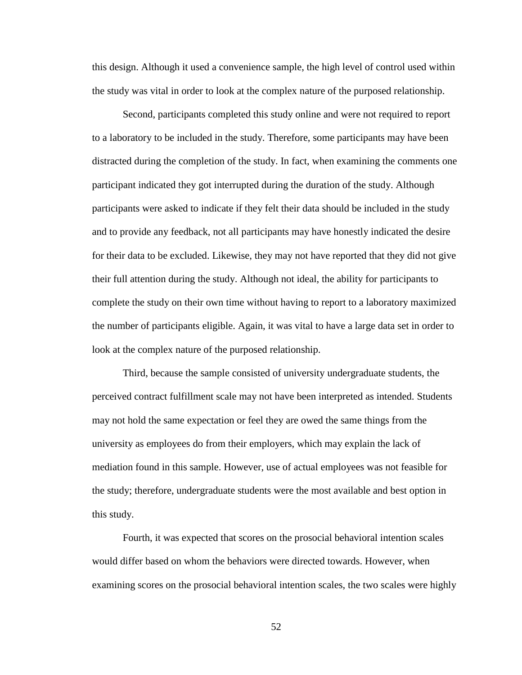this design. Although it used a convenience sample, the high level of control used within the study was vital in order to look at the complex nature of the purposed relationship.

Second, participants completed this study online and were not required to report to a laboratory to be included in the study. Therefore, some participants may have been distracted during the completion of the study. In fact, when examining the comments one participant indicated they got interrupted during the duration of the study. Although participants were asked to indicate if they felt their data should be included in the study and to provide any feedback, not all participants may have honestly indicated the desire for their data to be excluded. Likewise, they may not have reported that they did not give their full attention during the study. Although not ideal, the ability for participants to complete the study on their own time without having to report to a laboratory maximized the number of participants eligible. Again, it was vital to have a large data set in order to look at the complex nature of the purposed relationship.

Third, because the sample consisted of university undergraduate students, the perceived contract fulfillment scale may not have been interpreted as intended. Students may not hold the same expectation or feel they are owed the same things from the university as employees do from their employers, which may explain the lack of mediation found in this sample. However, use of actual employees was not feasible for the study; therefore, undergraduate students were the most available and best option in this study.

Fourth, it was expected that scores on the prosocial behavioral intention scales would differ based on whom the behaviors were directed towards. However, when examining scores on the prosocial behavioral intention scales, the two scales were highly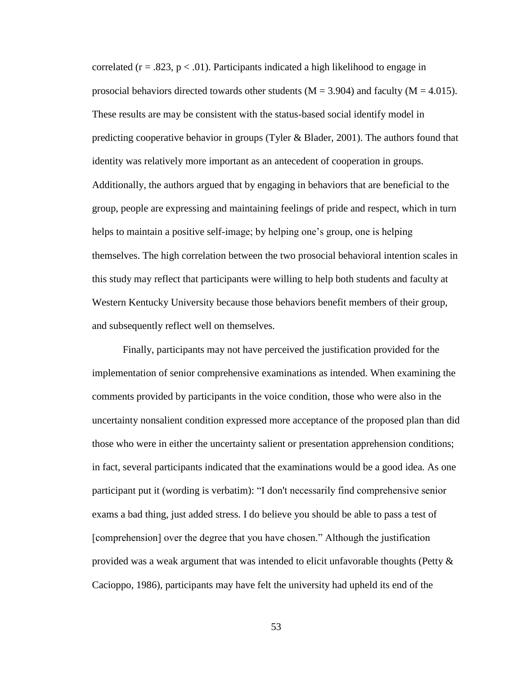correlated ( $r = .823$ ,  $p < .01$ ). Participants indicated a high likelihood to engage in prosocial behaviors directed towards other students ( $M = 3.904$ ) and faculty ( $M = 4.015$ ). These results are may be consistent with the status-based social identify model in predicting cooperative behavior in groups (Tyler & Blader, 2001). The authors found that identity was relatively more important as an antecedent of cooperation in groups. Additionally, the authors argued that by engaging in behaviors that are beneficial to the group, people are expressing and maintaining feelings of pride and respect, which in turn helps to maintain a positive self-image; by helping one's group, one is helping themselves. The high correlation between the two prosocial behavioral intention scales in this study may reflect that participants were willing to help both students and faculty at Western Kentucky University because those behaviors benefit members of their group, and subsequently reflect well on themselves.

Finally, participants may not have perceived the justification provided for the implementation of senior comprehensive examinations as intended. When examining the comments provided by participants in the voice condition, those who were also in the uncertainty nonsalient condition expressed more acceptance of the proposed plan than did those who were in either the uncertainty salient or presentation apprehension conditions; in fact, several participants indicated that the examinations would be a good idea. As one participant put it (wording is verbatim): "I don't necessarily find comprehensive senior exams a bad thing, just added stress. I do believe you should be able to pass a test of [comprehension] over the degree that you have chosen." Although the justification provided was a weak argument that was intended to elicit unfavorable thoughts (Petty  $\&$ Cacioppo, 1986), participants may have felt the university had upheld its end of the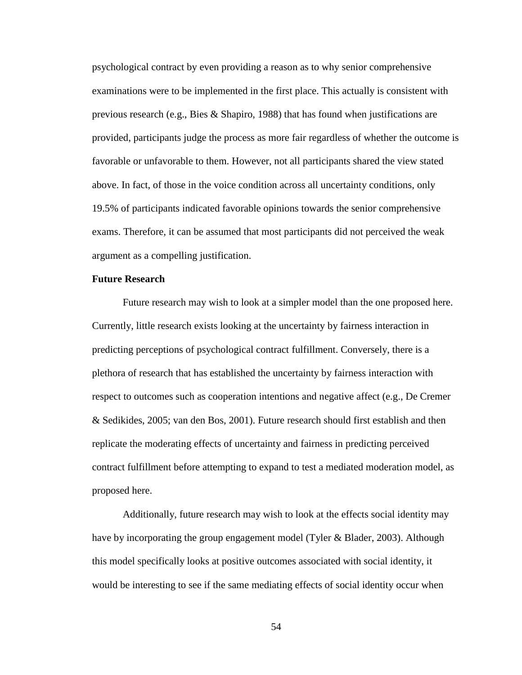psychological contract by even providing a reason as to why senior comprehensive examinations were to be implemented in the first place. This actually is consistent with previous research (e.g., Bies & Shapiro, 1988) that has found when justifications are provided, participants judge the process as more fair regardless of whether the outcome is favorable or unfavorable to them. However, not all participants shared the view stated above. In fact, of those in the voice condition across all uncertainty conditions, only 19.5% of participants indicated favorable opinions towards the senior comprehensive exams. Therefore, it can be assumed that most participants did not perceived the weak argument as a compelling justification.

## **Future Research**

Future research may wish to look at a simpler model than the one proposed here. Currently, little research exists looking at the uncertainty by fairness interaction in predicting perceptions of psychological contract fulfillment. Conversely, there is a plethora of research that has established the uncertainty by fairness interaction with respect to outcomes such as cooperation intentions and negative affect (e.g., De Cremer & Sedikides, 2005; van den Bos, 2001). Future research should first establish and then replicate the moderating effects of uncertainty and fairness in predicting perceived contract fulfillment before attempting to expand to test a mediated moderation model, as proposed here.

Additionally, future research may wish to look at the effects social identity may have by incorporating the group engagement model (Tyler & Blader, 2003). Although this model specifically looks at positive outcomes associated with social identity, it would be interesting to see if the same mediating effects of social identity occur when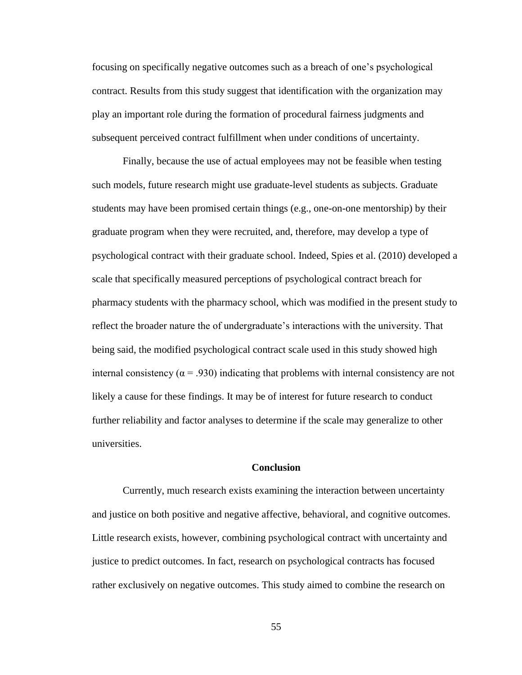focusing on specifically negative outcomes such as a breach of one's psychological contract. Results from this study suggest that identification with the organization may play an important role during the formation of procedural fairness judgments and subsequent perceived contract fulfillment when under conditions of uncertainty.

Finally, because the use of actual employees may not be feasible when testing such models, future research might use graduate-level students as subjects. Graduate students may have been promised certain things (e.g., one-on-one mentorship) by their graduate program when they were recruited, and, therefore, may develop a type of psychological contract with their graduate school. Indeed, Spies et al. (2010) developed a scale that specifically measured perceptions of psychological contract breach for pharmacy students with the pharmacy school, which was modified in the present study to reflect the broader nature the of undergraduate's interactions with the university. That being said, the modified psychological contract scale used in this study showed high internal consistency ( $\alpha$  = .930) indicating that problems with internal consistency are not likely a cause for these findings. It may be of interest for future research to conduct further reliability and factor analyses to determine if the scale may generalize to other universities.

### **Conclusion**

Currently, much research exists examining the interaction between uncertainty and justice on both positive and negative affective, behavioral, and cognitive outcomes. Little research exists, however, combining psychological contract with uncertainty and justice to predict outcomes. In fact, research on psychological contracts has focused rather exclusively on negative outcomes. This study aimed to combine the research on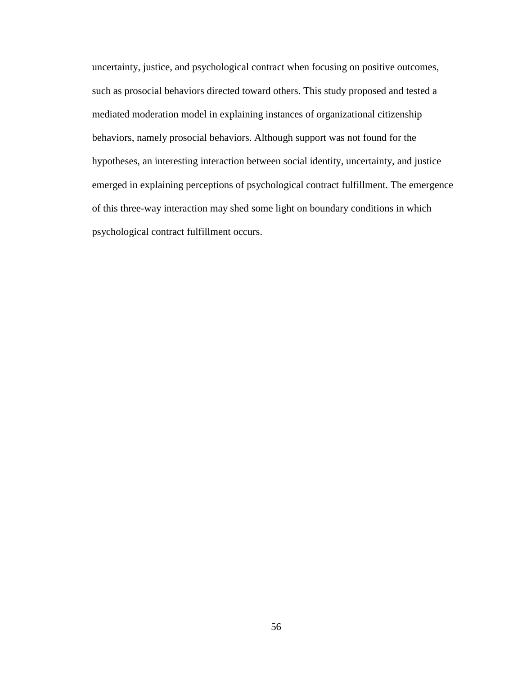uncertainty, justice, and psychological contract when focusing on positive outcomes, such as prosocial behaviors directed toward others. This study proposed and tested a mediated moderation model in explaining instances of organizational citizenship behaviors, namely prosocial behaviors. Although support was not found for the hypotheses, an interesting interaction between social identity, uncertainty, and justice emerged in explaining perceptions of psychological contract fulfillment. The emergence of this three-way interaction may shed some light on boundary conditions in which psychological contract fulfillment occurs.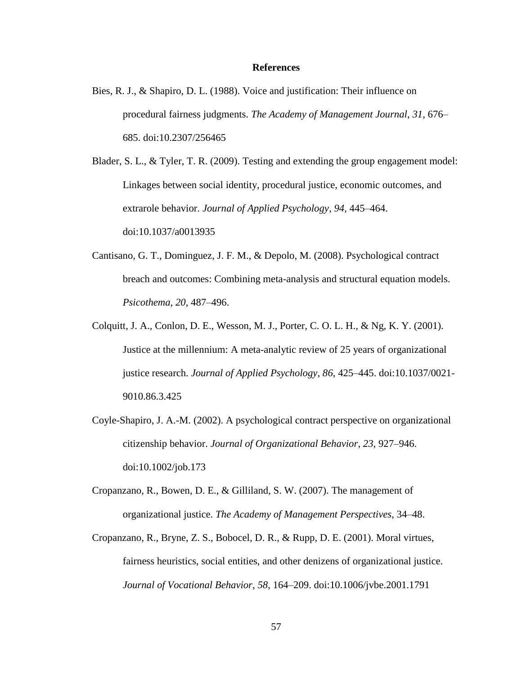### **References**

Bies, R. J., & Shapiro, D. L. (1988). Voice and justification: Their influence on procedural fairness judgments. *The Academy of Management Journal*, *31*, 676– 685. doi:10.2307/256465

Blader, S. L., & Tyler, T. R. (2009). Testing and extending the group engagement model: Linkages between social identity, procedural justice, economic outcomes, and extrarole behavior. *Journal of Applied Psychology*, *94*, 445–464. doi:10.1037/a0013935

- Cantisano, G. T., Dominguez, J. F. M., & Depolo, M. (2008). Psychological contract breach and outcomes: Combining meta-analysis and structural equation models. *Psicothema*, *20*, 487–496.
- Colquitt, J. A., Conlon, D. E., Wesson, M. J., Porter, C. O. L. H., & Ng, K. Y. (2001). Justice at the millennium: A meta-analytic review of 25 years of organizational justice research. *Journal of Applied Psychology*, *86*, 425–445. doi:10.1037/0021- 9010.86.3.425
- Coyle-Shapiro, J. A.-M. (2002). A psychological contract perspective on organizational citizenship behavior. *Journal of Organizational Behavior*, *23*, 927–946. doi:10.1002/job.173
- Cropanzano, R., Bowen, D. E., & Gilliland, S. W. (2007). The management of organizational justice. *The Academy of Management Perspectives*, 34–48.
- Cropanzano, R., Bryne, Z. S., Bobocel, D. R., & Rupp, D. E. (2001). Moral virtues, fairness heuristics, social entities, and other denizens of organizational justice. *Journal of Vocational Behavior*, *58*, 164–209. doi:10.1006/jvbe.2001.1791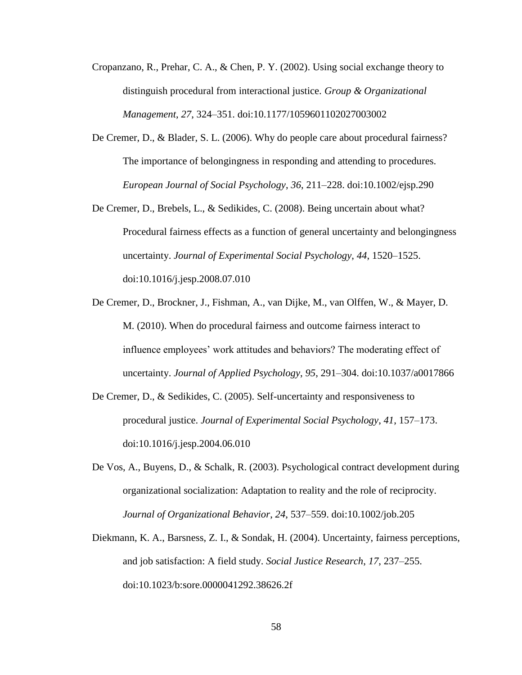- Cropanzano, R., Prehar, C. A., & Chen, P. Y. (2002). Using social exchange theory to distinguish procedural from interactional justice. *Group & Organizational Management*, *27*, 324–351. doi:10.1177/1059601102027003002
- De Cremer, D., & Blader, S. L. (2006). Why do people care about procedural fairness? The importance of belongingness in responding and attending to procedures. *European Journal of Social Psychology*, *36*, 211–228. doi:10.1002/ejsp.290
- De Cremer, D., Brebels, L., & Sedikides, C. (2008). Being uncertain about what? Procedural fairness effects as a function of general uncertainty and belongingness uncertainty. *Journal of Experimental Social Psychology*, *44*, 1520–1525. doi:10.1016/j.jesp.2008.07.010
- De Cremer, D., Brockner, J., Fishman, A., van Dijke, M., van Olffen, W., & Mayer, D. M. (2010). When do procedural fairness and outcome fairness interact to influence employees' work attitudes and behaviors? The moderating effect of uncertainty. *Journal of Applied Psychology*, *95*, 291–304. doi:10.1037/a0017866
- De Cremer, D., & Sedikides, C. (2005). Self-uncertainty and responsiveness to procedural justice. *Journal of Experimental Social Psychology*, *41*, 157–173. doi:10.1016/j.jesp.2004.06.010
- De Vos, A., Buyens, D., & Schalk, R. (2003). Psychological contract development during organizational socialization: Adaptation to reality and the role of reciprocity. *Journal of Organizational Behavior*, *24*, 537–559. doi:10.1002/job.205
- Diekmann, K. A., Barsness, Z. I., & Sondak, H. (2004). Uncertainty, fairness perceptions, and job satisfaction: A field study. *Social Justice Research*, *17*, 237–255. doi:10.1023/b:sore.0000041292.38626.2f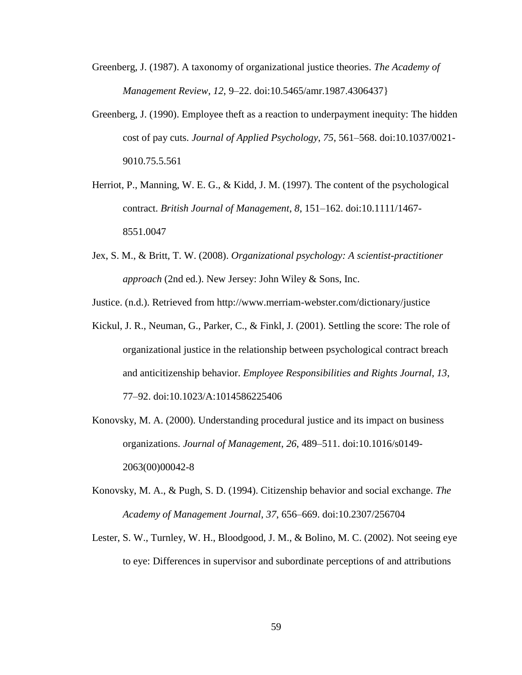- Greenberg, J. (1987). A taxonomy of organizational justice theories. *The Academy of Management Review*, *12*, 9–22. doi:10.5465/amr.1987.4306437}
- Greenberg, J. (1990). Employee theft as a reaction to underpayment inequity: The hidden cost of pay cuts. *Journal of Applied Psychology*, *75*, 561–568. doi:10.1037/0021- 9010.75.5.561
- Herriot, P., Manning, W. E. G., & Kidd, J. M. (1997). The content of the psychological contract. *British Journal of Management*, *8*, 151–162. doi:10.1111/1467- 8551.0047
- Jex, S. M., & Britt, T. W. (2008). *Organizational psychology: A scientist-practitioner approach* (2nd ed.). New Jersey: John Wiley & Sons, Inc.

Justice. (n.d.). Retrieved from http://www.merriam-webster.com/dictionary/justice

- Kickul, J. R., Neuman, G., Parker, C., & Finkl, J. (2001). Settling the score: The role of organizational justice in the relationship between psychological contract breach and anticitizenship behavior. *Employee Responsibilities and Rights Journal*, *13*, 77–92. doi:10.1023/A:1014586225406
- Konovsky, M. A. (2000). Understanding procedural justice and its impact on business organizations. *Journal of Management*, *26*, 489–511. doi:10.1016/s0149- 2063(00)00042-8
- Konovsky, M. A., & Pugh, S. D. (1994). Citizenship behavior and social exchange. *The Academy of Management Journal*, *37*, 656–669. doi:10.2307/256704
- Lester, S. W., Turnley, W. H., Bloodgood, J. M., & Bolino, M. C. (2002). Not seeing eye to eye: Differences in supervisor and subordinate perceptions of and attributions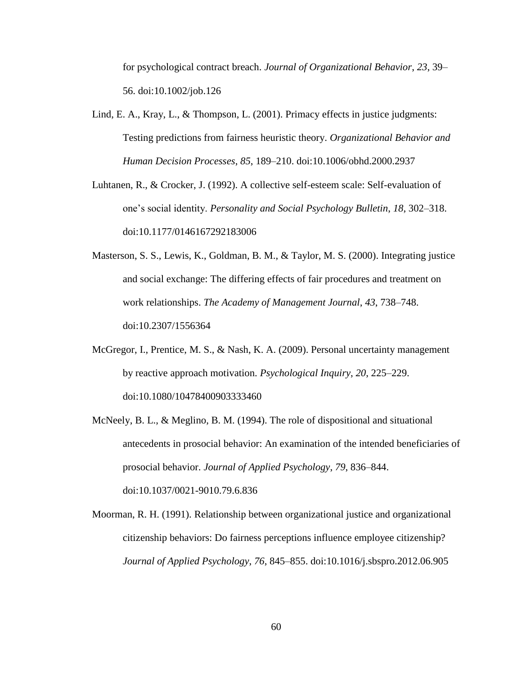for psychological contract breach. *Journal of Organizational Behavior*, *23*, 39– 56. doi:10.1002/job.126

- Lind, E. A., Kray, L., & Thompson, L. (2001). Primacy effects in justice judgments: Testing predictions from fairness heuristic theory. *Organizational Behavior and Human Decision Processes*, *85*, 189–210. doi:10.1006/obhd.2000.2937
- Luhtanen, R., & Crocker, J. (1992). A collective self-esteem scale: Self-evaluation of one's social identity. *Personality and Social Psychology Bulletin*, *18*, 302–318. doi:10.1177/0146167292183006
- Masterson, S. S., Lewis, K., Goldman, B. M., & Taylor, M. S. (2000). Integrating justice and social exchange: The differing effects of fair procedures and treatment on work relationships. *The Academy of Management Journal*, *43*, 738–748. doi:10.2307/1556364
- McGregor, I., Prentice, M. S., & Nash, K. A. (2009). Personal uncertainty management by reactive approach motivation. *Psychological Inquiry*, *20*, 225–229. doi:10.1080/10478400903333460
- McNeely, B. L., & Meglino, B. M. (1994). The role of dispositional and situational antecedents in prosocial behavior: An examination of the intended beneficiaries of prosocial behavior. *Journal of Applied Psychology*, *79*, 836–844. doi:10.1037/0021-9010.79.6.836
- Moorman, R. H. (1991). Relationship between organizational justice and organizational citizenship behaviors: Do fairness perceptions influence employee citizenship? *Journal of Applied Psychology*, *76*, 845–855. doi:10.1016/j.sbspro.2012.06.905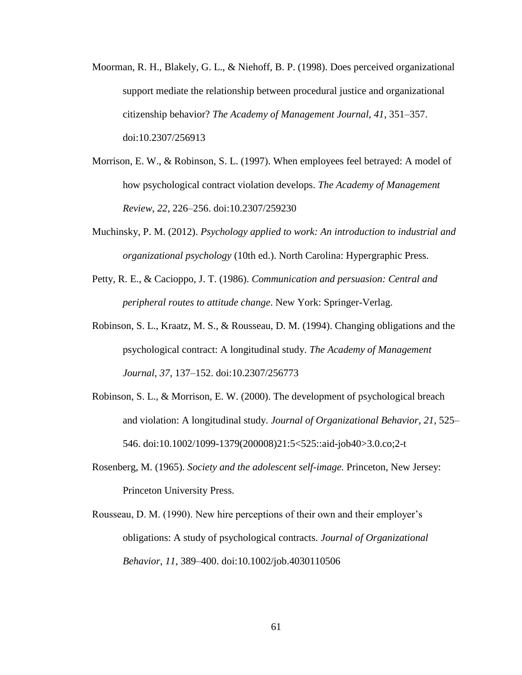- Moorman, R. H., Blakely, G. L., & Niehoff, B. P. (1998). Does perceived organizational support mediate the relationship between procedural justice and organizational citizenship behavior? *The Academy of Management Journal*, *41*, 351–357. doi:10.2307/256913
- Morrison, E. W., & Robinson, S. L. (1997). When employees feel betrayed: A model of how psychological contract violation develops. *The Academy of Management Review*, *22*, 226–256. doi:10.2307/259230
- Muchinsky, P. M. (2012). *Psychology applied to work: An introduction to industrial and organizational psychology* (10th ed.). North Carolina: Hypergraphic Press.
- Petty, R. E., & Cacioppo, J. T. (1986). *Communication and persuasion: Central and peripheral routes to attitude change*. New York: Springer-Verlag.
- Robinson, S. L., Kraatz, M. S., & Rousseau, D. M. (1994). Changing obligations and the psychological contract: A longitudinal study. *The Academy of Management Journal*, *37*, 137–152. doi:10.2307/256773
- Robinson, S. L., & Morrison, E. W. (2000). The development of psychological breach and violation: A longitudinal study. *Journal of Organizational Behavior*, *21*, 525– 546. doi:10.1002/1099-1379(200008)21:5<525::aid-job40>3.0.co;2-t
- Rosenberg, M. (1965). *Society and the adolescent self-image.* Princeton, New Jersey: Princeton University Press.
- Rousseau, D. M. (1990). New hire perceptions of their own and their employer's obligations: A study of psychological contracts. *Journal of Organizational Behavior*, *11*, 389–400. doi:10.1002/job.4030110506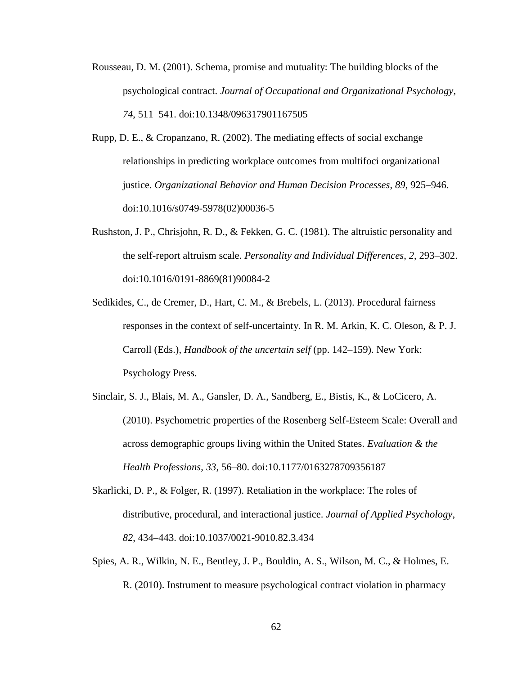- Rousseau, D. M. (2001). Schema, promise and mutuality: The building blocks of the psychological contract. *Journal of Occupational and Organizational Psychology*, *74*, 511–541. doi:10.1348/096317901167505
- Rupp, D. E., & Cropanzano, R. (2002). The mediating effects of social exchange relationships in predicting workplace outcomes from multifoci organizational justice. *Organizational Behavior and Human Decision Processes*, *89*, 925–946. doi:10.1016/s0749-5978(02)00036-5
- Rushston, J. P., Chrisjohn, R. D., & Fekken, G. C. (1981). The altruistic personality and the self-report altruism scale. *Personality and Individual Differences*, *2*, 293–302. doi:10.1016/0191-8869(81)90084-2
- Sedikides, C., de Cremer, D., Hart, C. M., & Brebels, L. (2013). Procedural fairness responses in the context of self-uncertainty. In R. M. Arkin, K. C. Oleson, & P. J. Carroll (Eds.), *Handbook of the uncertain self* (pp. 142–159). New York: Psychology Press.
- Sinclair, S. J., Blais, M. A., Gansler, D. A., Sandberg, E., Bistis, K., & LoCicero, A. (2010). Psychometric properties of the Rosenberg Self-Esteem Scale: Overall and across demographic groups living within the United States. *Evaluation & the Health Professions*, *33*, 56–80. doi:10.1177/0163278709356187
- Skarlicki, D. P., & Folger, R. (1997). Retaliation in the workplace: The roles of distributive, procedural, and interactional justice. *Journal of Applied Psychology*, *82*, 434–443. doi:10.1037/0021-9010.82.3.434
- Spies, A. R., Wilkin, N. E., Bentley, J. P., Bouldin, A. S., Wilson, M. C., & Holmes, E. R. (2010). Instrument to measure psychological contract violation in pharmacy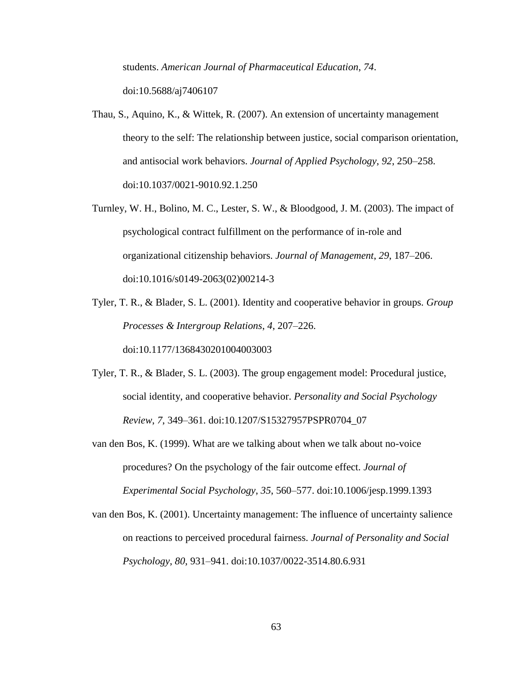students. *American Journal of Pharmaceutical Education*, *74*. doi:10.5688/aj7406107

- Thau, S., Aquino, K., & Wittek, R. (2007). An extension of uncertainty management theory to the self: The relationship between justice, social comparison orientation, and antisocial work behaviors. *Journal of Applied Psychology*, *92*, 250–258. doi:10.1037/0021-9010.92.1.250
- Turnley, W. H., Bolino, M. C., Lester, S. W., & Bloodgood, J. M. (2003). The impact of psychological contract fulfillment on the performance of in-role and organizational citizenship behaviors. *Journal of Management*, *29*, 187–206. doi:10.1016/s0149-2063(02)00214-3
- Tyler, T. R., & Blader, S. L. (2001). Identity and cooperative behavior in groups. *Group Processes & Intergroup Relations*, *4*, 207–226.

doi:10.1177/1368430201004003003

- Tyler, T. R., & Blader, S. L. (2003). The group engagement model: Procedural justice, social identity, and cooperative behavior. *Personality and Social Psychology Review*, *7*, 349–361. doi:10.1207/S15327957PSPR0704\_07
- van den Bos, K. (1999). What are we talking about when we talk about no-voice procedures? On the psychology of the fair outcome effect. *Journal of Experimental Social Psychology*, *35*, 560–577. doi:10.1006/jesp.1999.1393
- van den Bos, K. (2001). Uncertainty management: The influence of uncertainty salience on reactions to perceived procedural fairness. *Journal of Personality and Social Psychology*, *80*, 931–941. doi:10.1037/0022-3514.80.6.931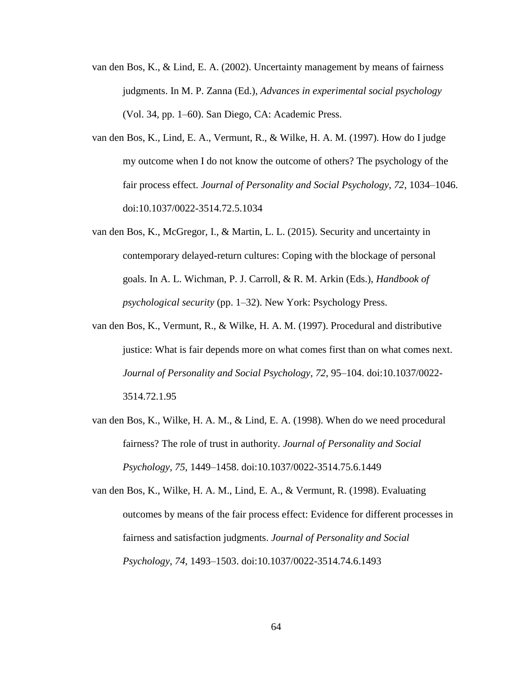- van den Bos, K., & Lind, E. A. (2002). Uncertainty management by means of fairness judgments. In M. P. Zanna (Ed.), *Advances in experimental social psychology* (Vol. 34, pp. 1–60). San Diego, CA: Academic Press.
- van den Bos, K., Lind, E. A., Vermunt, R., & Wilke, H. A. M. (1997). How do I judge my outcome when I do not know the outcome of others? The psychology of the fair process effect. *Journal of Personality and Social Psychology*, *72*, 1034–1046. doi:10.1037/0022-3514.72.5.1034
- van den Bos, K., McGregor, I., & Martin, L. L. (2015). Security and uncertainty in contemporary delayed-return cultures: Coping with the blockage of personal goals. In A. L. Wichman, P. J. Carroll, & R. M. Arkin (Eds.), *Handbook of psychological security* (pp. 1–32). New York: Psychology Press.
- van den Bos, K., Vermunt, R., & Wilke, H. A. M. (1997). Procedural and distributive justice: What is fair depends more on what comes first than on what comes next. *Journal of Personality and Social Psychology*, *72*, 95–104. doi:10.1037/0022- 3514.72.1.95
- van den Bos, K., Wilke, H. A. M., & Lind, E. A. (1998). When do we need procedural fairness? The role of trust in authority. *Journal of Personality and Social Psychology*, *75*, 1449–1458. doi:10.1037/0022-3514.75.6.1449

van den Bos, K., Wilke, H. A. M., Lind, E. A., & Vermunt, R. (1998). Evaluating outcomes by means of the fair process effect: Evidence for different processes in fairness and satisfaction judgments. *Journal of Personality and Social Psychology*, *74*, 1493–1503. doi:10.1037/0022-3514.74.6.1493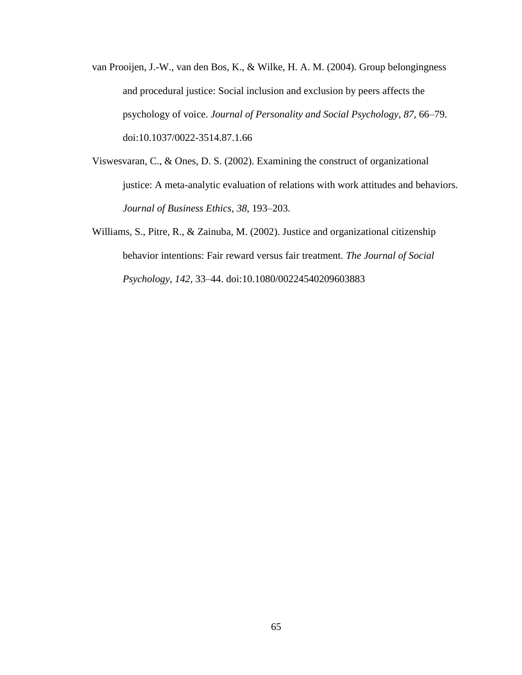- van Prooijen, J.-W., van den Bos, K., & Wilke, H. A. M. (2004). Group belongingness and procedural justice: Social inclusion and exclusion by peers affects the psychology of voice. *Journal of Personality and Social Psychology*, *87*, 66–79. doi:10.1037/0022-3514.87.1.66
- Viswesvaran, C., & Ones, D. S. (2002). Examining the construct of organizational justice: A meta-analytic evaluation of relations with work attitudes and behaviors. *Journal of Business Ethics*, *38*, 193–203.
- Williams, S., Pitre, R., & Zainuba, M. (2002). Justice and organizational citizenship behavior intentions: Fair reward versus fair treatment. *The Journal of Social Psychology*, *142*, 33–44. doi:10.1080/00224540209603883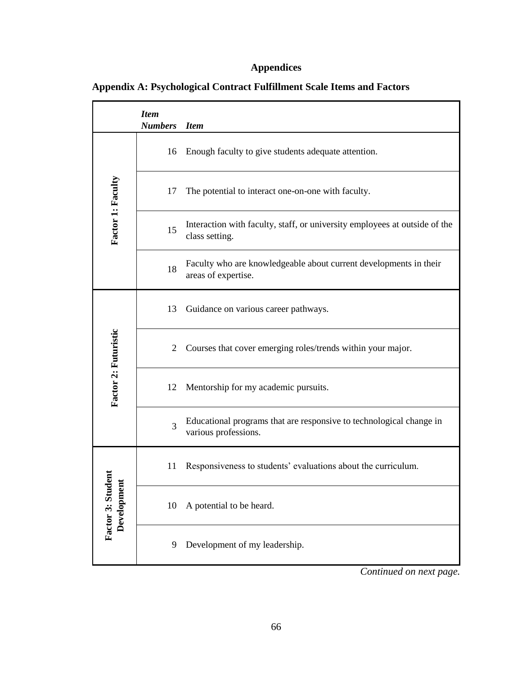## **Appendices**

|                              | <b>Item</b><br><b>Numbers</b> | <b>Item</b>                                                                                  |
|------------------------------|-------------------------------|----------------------------------------------------------------------------------------------|
|                              | 16                            | Enough faculty to give students adequate attention.                                          |
| Factor 1: Faculty            | 17                            | The potential to interact one-on-one with faculty.                                           |
|                              | 15                            | Interaction with faculty, staff, or university employees at outside of the<br>class setting. |
|                              | 18                            | Faculty who are knowledgeable about current developments in their<br>areas of expertise.     |
|                              | 13                            | Guidance on various career pathways.                                                         |
|                              | 2                             | Courses that cover emerging roles/trends within your major.                                  |
| Factor 2: Futuristic         | 12                            | Mentorship for my academic pursuits.                                                         |
|                              | 3                             | Educational programs that are responsive to technological change in<br>various professions.  |
| Ē                            | 11                            | Responsiveness to students' evaluations about the curriculum.                                |
| Factor 3: Stud<br>Developmen | 10                            | A potential to be heard.                                                                     |
|                              | 9                             | Development of my leadership.                                                                |

*Continued on next page.*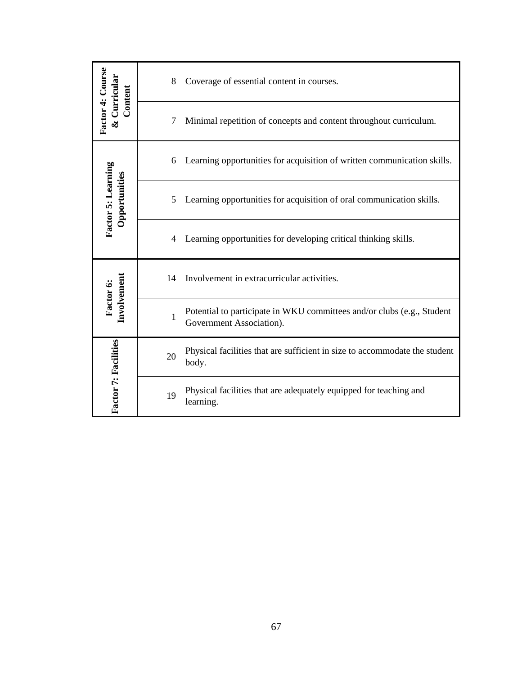| Factor 4: Course<br>Curricular<br>Content | Coverage of essential content in courses.<br>8                                                          |
|-------------------------------------------|---------------------------------------------------------------------------------------------------------|
|                                           | Minimal repetition of concepts and content throughout curriculum.<br>7                                  |
|                                           | Learning opportunities for acquisition of written communication skills.<br>6                            |
| Factor 5: Learning<br>Opportunities       | Learning opportunities for acquisition of oral communication skills.<br>5                               |
|                                           | Learning opportunities for developing critical thinking skills.<br>4                                    |
|                                           | Involvement in extracurricular activities.<br>14                                                        |
| Involvement<br>Factor 6:                  | Potential to participate in WKU committees and/or clubs (e.g., Student<br>1<br>Government Association). |
|                                           | Physical facilities that are sufficient in size to accommodate the student<br>20<br>body.               |
| <b>Factor 7: Facilities</b>               | Physical facilities that are adequately equipped for teaching and<br>19<br>learning.                    |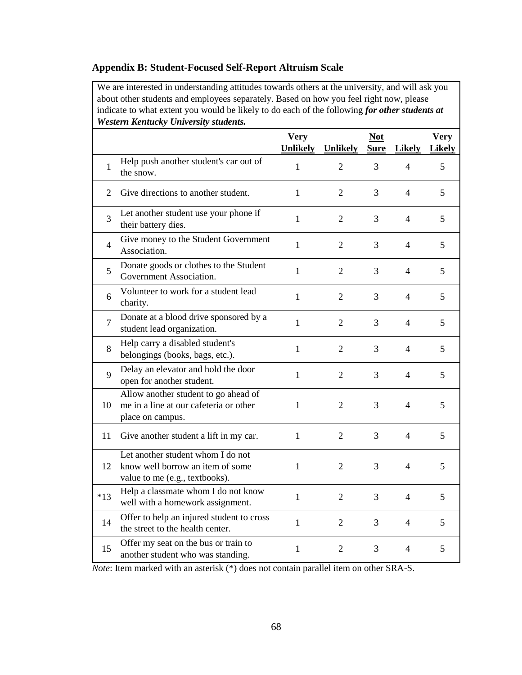#### **Appendix B: Student-Focused Self-Report Altruism Scale**

We are interested in understanding attitudes towards others at the university, and will ask you about other students and employees separately. Based on how you feel right now, please indicate to what extent you would be likely to do each of the following *for other students at Western Kentucky University students.*

|                |                                                                                                         | <b>Very</b>                     |                                   | <b>Not</b>       |                                 | <b>Very</b>        |
|----------------|---------------------------------------------------------------------------------------------------------|---------------------------------|-----------------------------------|------------------|---------------------------------|--------------------|
| 1              | Help push another student's car out of                                                                  | <b>Unlikely</b><br>$\mathbf{1}$ | <b>Unlikely</b><br>$\overline{2}$ | <b>Sure</b><br>3 | <b>Likely</b><br>$\overline{4}$ | <b>Likely</b><br>5 |
| $\overline{2}$ | the snow.<br>Give directions to another student.                                                        | $\mathbf{1}$                    | $\overline{2}$                    | 3                | $\overline{4}$                  | 5                  |
| 3              | Let another student use your phone if<br>their battery dies.                                            | $\mathbf{1}$                    | $\overline{2}$                    | 3                | 4                               | 5                  |
| 4              | Give money to the Student Government<br>Association.                                                    | $\mathbf{1}$                    | $\overline{2}$                    | 3                | $\overline{4}$                  | 5                  |
| 5              | Donate goods or clothes to the Student<br>Government Association.                                       | $\mathbf{1}$                    | $\overline{2}$                    | 3                | $\overline{4}$                  | 5                  |
| 6              | Volunteer to work for a student lead<br>charity.                                                        | $\mathbf{1}$                    | $\overline{2}$                    | 3                | $\overline{\mathcal{A}}$        | 5                  |
| 7              | Donate at a blood drive sponsored by a<br>student lead organization.                                    | 1                               | 2                                 | 3                | 4                               | 5                  |
| 8              | Help carry a disabled student's<br>belongings (books, bags, etc.).                                      | $\mathbf{1}$                    | $\overline{2}$                    | 3                | 4                               | 5                  |
| 9              | Delay an elevator and hold the door<br>open for another student.                                        | $\mathbf{1}$                    | $\overline{2}$                    | 3                | $\overline{4}$                  | 5                  |
| 10             | Allow another student to go ahead of<br>me in a line at our cafeteria or other<br>place on campus.      | $\mathbf{1}$                    | 2                                 | 3                | 4                               | 5                  |
| 11             | Give another student a lift in my car.                                                                  | 1                               | $\overline{2}$                    | 3                | $\overline{4}$                  | 5                  |
| 12             | Let another student whom I do not<br>know well borrow an item of some<br>value to me (e.g., textbooks). | 1                               | $\overline{2}$                    | 3                | $\overline{4}$                  | 5                  |
| $*13$          | Help a classmate whom I do not know<br>well with a homework assignment.                                 | $\mathbf{1}$                    | $\overline{2}$                    | 3                | 4                               | 5                  |
| 14             | Offer to help an injured student to cross<br>the street to the health center.                           | $\mathbf{1}$                    | $\overline{2}$                    | 3                | 4                               | 5                  |
| 15             | Offer my seat on the bus or train to<br>another student who was standing.                               | 1                               | $\overline{2}$                    | 3                | $\overline{4}$                  | 5                  |

*Note*: Item marked with an asterisk (\*) does not contain parallel item on other SRA-S.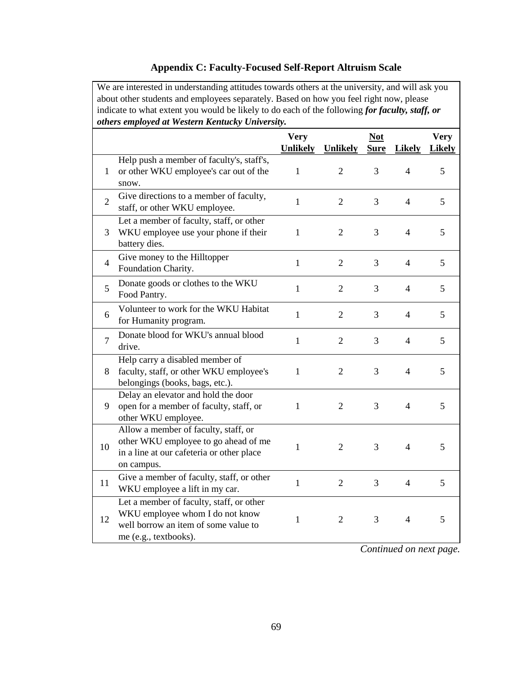### **Appendix C: Faculty-Focused Self-Report Altruism Scale**

We are interested in understanding attitudes towards others at the university, and will ask you about other students and employees separately. Based on how you feel right now, please indicate to what extent you would be likely to do each of the following *for faculty, staff, or others employed at Western Kentucky University.*

|                |                                                                                                                                              | <b>Very</b>     |                 | <b>Not</b>  |                | <b>Very</b>   |
|----------------|----------------------------------------------------------------------------------------------------------------------------------------------|-----------------|-----------------|-------------|----------------|---------------|
|                |                                                                                                                                              | <b>Unlikely</b> | <b>Unlikely</b> | <b>Sure</b> | <b>Likely</b>  | <b>Likely</b> |
| 1              | Help push a member of faculty's, staff's,<br>or other WKU employee's car out of the<br>snow.                                                 | $\mathbf{1}$    | $\overline{2}$  | 3           | $\overline{4}$ | 5             |
| $\overline{2}$ | Give directions to a member of faculty,<br>staff, or other WKU employee.                                                                     | $\mathbf{1}$    | $\overline{2}$  | 3           | $\overline{4}$ | 5             |
| 3              | Let a member of faculty, staff, or other<br>WKU employee use your phone if their<br>battery dies.                                            | $\mathbf{1}$    | $\overline{2}$  | 3           | $\overline{4}$ | 5             |
| $\overline{4}$ | Give money to the Hilltopper<br>Foundation Charity.                                                                                          | $\mathbf{1}$    | $\overline{2}$  | 3           | $\overline{4}$ | 5             |
| 5              | Donate goods or clothes to the WKU<br>Food Pantry.                                                                                           | $\mathbf{1}$    | $\overline{2}$  | 3           | $\overline{4}$ | 5             |
| 6              | Volunteer to work for the WKU Habitat<br>for Humanity program.                                                                               | $\mathbf{1}$    | $\overline{2}$  | 3           | $\overline{4}$ | 5             |
| $\overline{7}$ | Donate blood for WKU's annual blood<br>drive.                                                                                                | $\mathbf{1}$    | $\overline{2}$  | 3           | $\overline{4}$ | 5             |
| 8              | Help carry a disabled member of<br>faculty, staff, or other WKU employee's<br>belongings (books, bags, etc.).                                | $\mathbf{1}$    | $\overline{2}$  | 3           | $\overline{4}$ | 5             |
| 9              | Delay an elevator and hold the door<br>open for a member of faculty, staff, or<br>other WKU employee.                                        | $\mathbf{1}$    | $\overline{2}$  | 3           | $\overline{4}$ | 5             |
| 10             | Allow a member of faculty, staff, or<br>other WKU employee to go ahead of me<br>in a line at our cafeteria or other place<br>on campus.      | 1               | $\overline{2}$  | 3           | $\overline{4}$ | 5             |
| 11             | Give a member of faculty, staff, or other<br>WKU employee a lift in my car.                                                                  | $\mathbf{1}$    | $\overline{2}$  | 3           | $\overline{4}$ | 5             |
| 12             | Let a member of faculty, staff, or other<br>WKU employee whom I do not know<br>well borrow an item of some value to<br>me (e.g., textbooks). | $\mathbf{1}$    | $\overline{2}$  | 3           | $\overline{4}$ | 5             |

*Continued on next page.*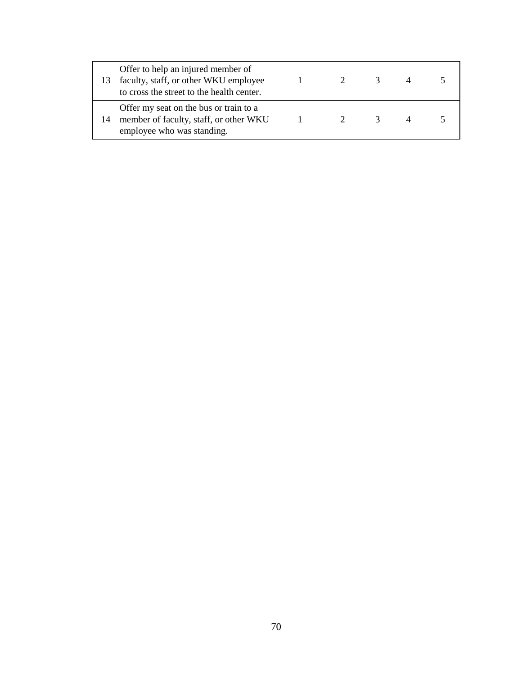|    | Offer to help an injured member of<br>faculty, staff, or other WKU employee<br>to cross the street to the health center. |                   | 2              | 3             |  |
|----|--------------------------------------------------------------------------------------------------------------------------|-------------------|----------------|---------------|--|
| 14 | Offer my seat on the bus or train to a<br>member of faculty, staff, or other WKU<br>employee who was standing.           | $\sim$ 1.0 $\sim$ | $\overline{2}$ | $\mathcal{R}$ |  |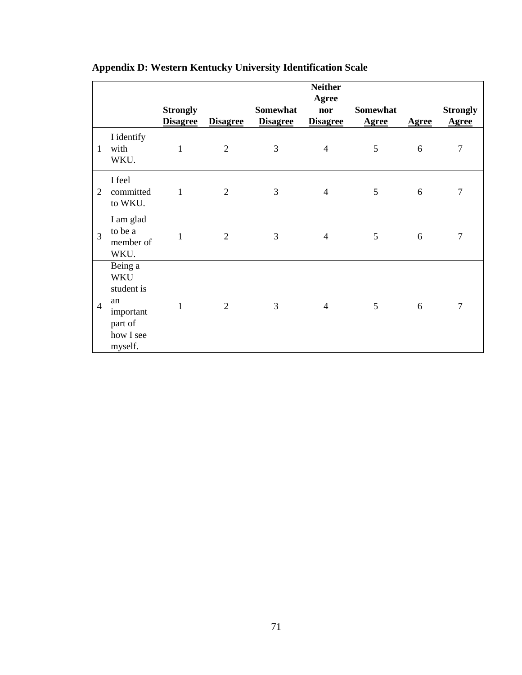|                |                                                                                           | <b>Strongly</b><br><b>Disagree</b> | <b>Disagree</b> | <b>Somewhat</b><br><b>Disagree</b> | <b>Neither</b><br>Agree<br>nor<br><b>Disagree</b> | <b>Somewhat</b><br><b>Agree</b> | <b>Agree</b> | <b>Strongly</b><br><b>Agree</b> |
|----------------|-------------------------------------------------------------------------------------------|------------------------------------|-----------------|------------------------------------|---------------------------------------------------|---------------------------------|--------------|---------------------------------|
| 1              | I identify<br>with<br>WKU.                                                                | $\mathbf{1}$                       | $\overline{2}$  | 3                                  | $\overline{4}$                                    | 5                               | 6            | $\overline{7}$                  |
| $\overline{2}$ | I feel<br>committed<br>to WKU.                                                            | 1                                  | $\overline{2}$  | 3                                  | $\overline{4}$                                    | 5                               | 6            | 7                               |
| $\overline{3}$ | I am glad<br>to be a<br>member of<br>WKU.                                                 | 1                                  | $\overline{2}$  | 3                                  | $\overline{4}$                                    | 5                               | 6            | 7                               |
| $\overline{4}$ | Being a<br><b>WKU</b><br>student is<br>an<br>important<br>part of<br>how I see<br>myself. | 1                                  | $\overline{2}$  | 3                                  | $\overline{4}$                                    | 5                               | 6            | 7                               |

# **Appendix D: Western Kentucky University Identification Scale**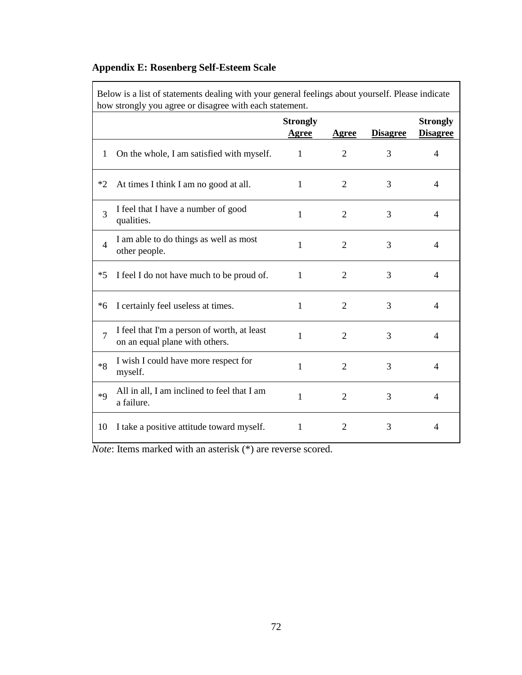## **Appendix E: Rosenberg Self-Esteem Scale**

Below is a list of statements dealing with your general feelings about yourself. Please indicate how strongly you agree or disagree with each statement.

|                |                                                                               | <b>Strongly</b><br><b>Agree</b> | Agree          | <b>Disagree</b> | <b>Strongly</b><br><b>Disagree</b> |
|----------------|-------------------------------------------------------------------------------|---------------------------------|----------------|-----------------|------------------------------------|
| 1              | On the whole, I am satisfied with myself.                                     | $\mathbf{1}$                    | $\overline{2}$ | 3               | 4                                  |
| $*2$           | At times I think I am no good at all.                                         | 1                               | 2              | 3               | 4                                  |
| 3              | I feel that I have a number of good<br>qualities.                             | 1                               | 2              | 3               | 4                                  |
| $\overline{4}$ | I am able to do things as well as most<br>other people.                       | 1                               | $\overline{2}$ | 3               | 4                                  |
| $*5$           | I feel I do not have much to be proud of.                                     | 1                               | 2              | 3               | 4                                  |
| $*6$           | I certainly feel useless at times.                                            | 1                               | $\overline{2}$ | 3               | 4                                  |
| $\overline{7}$ | I feel that I'm a person of worth, at least<br>on an equal plane with others. | 1                               | $\overline{2}$ | 3               | 4                                  |
| $*8$           | I wish I could have more respect for<br>myself.                               | $\mathbf{1}$                    | $\overline{2}$ | 3               | 4                                  |
| $*q$           | All in all, I am inclined to feel that I am<br>a failure.                     | 1                               | $\overline{2}$ | 3               | 4                                  |
| 10             | I take a positive attitude toward myself.                                     | 1                               | $\overline{2}$ | 3               | 4                                  |

*Note*: Items marked with an asterisk (\*) are reverse scored.